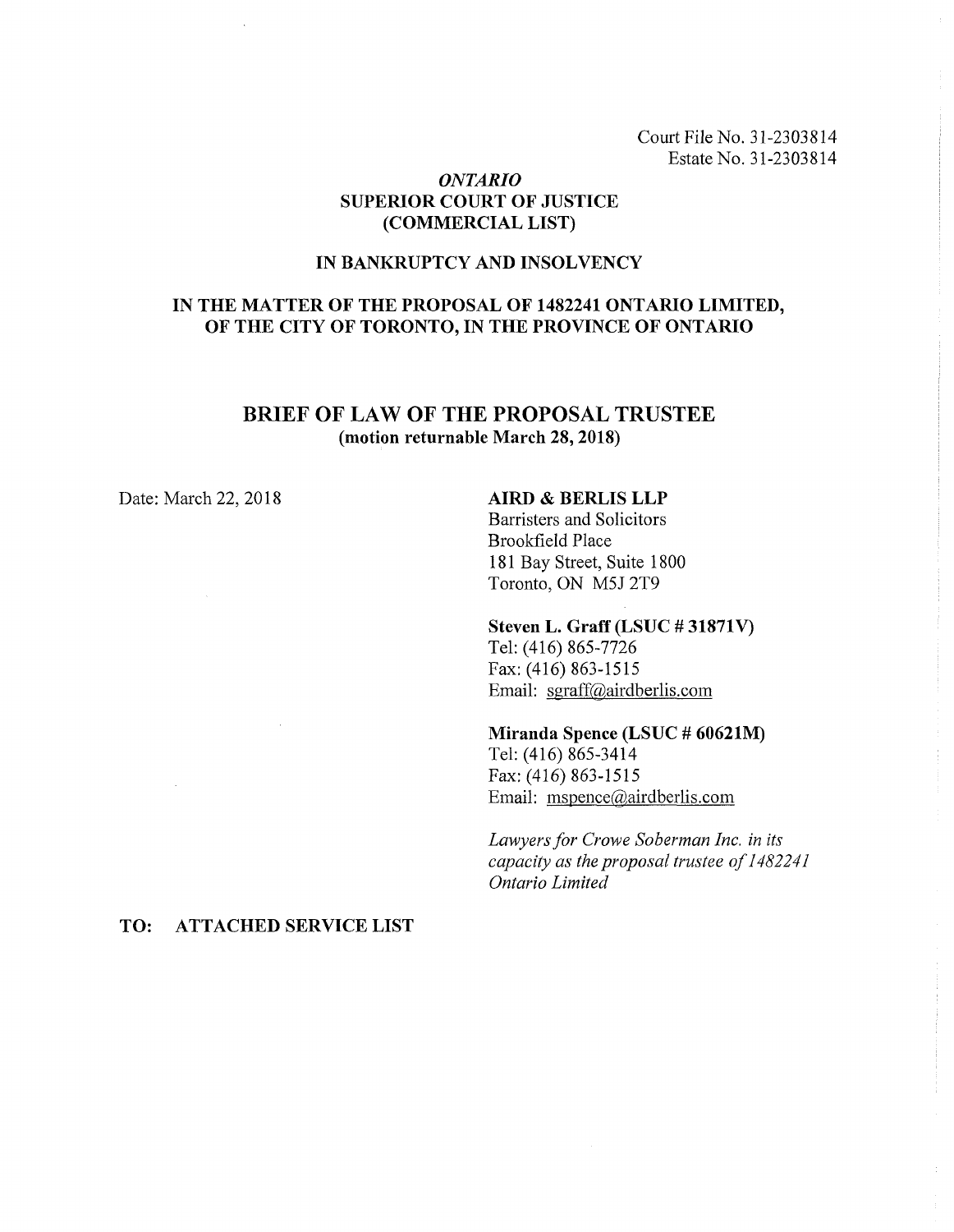Court File No. 31-2303814 Estate No. 31-2303814

# *ONTARIO* **SUPERIOR COURT OF JUSTICE (COMMERCIAL LIST)**

# **IN BANKRUPTCY AND INSOLVENCY**

# **IN THE MATTER OF THE PROPOSAL OF 1482241 ONTARIO LIMITED, OF THE CITY OF TORONTO, IN THE PROVINCE OF ONTARIO**

# **BRIEF OF LAW OF THE PROPOSAL TRUSTEE (motion returnable March 28, 2018)**

## Date: March 22, 2018 **AIRD & BERLIS LLP**

Barristers and Solicitors Brookfield Place 181 Bay Street, Suite 1800 Toronto, ON M5J 2T9

#### **Steven L. Graff (LSUC # 31871V)**

Tel: (416) 865-7726 Fax: (416) 863-1515 Email: [sgraff@airdberlis.com](mailto:sgraff@airdberlis.com)

#### **Miranda Spence (LSUC # 60621M)**

Tel: (416) 865-3414 Fax: (416) 863-1515 Email: [mspence@airdberlis.com](mailto:mspence@airdberlis.com)

*Lawyersfor Crowe Soberman Inc. in its capacity as the proposal trustee of1482241 Ontario Limited*

## **TO: ATTACHED SERVICE LIST**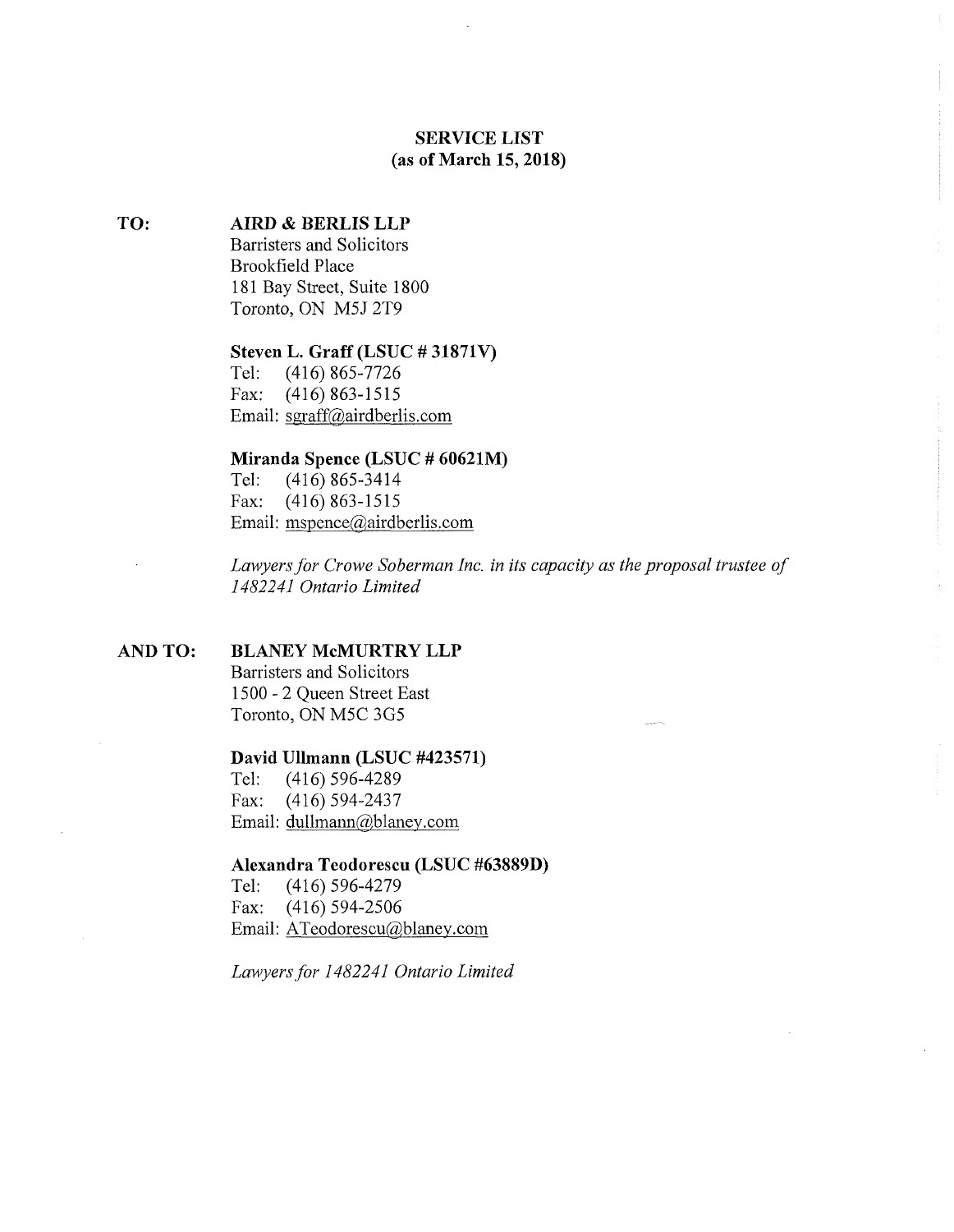# **SERVICE LIST (as of March 15, 2018)**

#### **TO: AIRD & BERLIS LLP**

Barristers and Solicitors Brookfield Place 181 Bay Street, Suite 1800 Toronto, ON M5J 2T9

# **Steven L. Graff (LSUC # 31871V)**

Tel: (416) 865-7726 Fax: (416) 863-1515 Email: sgraff@airdberlis,com

# **Miranda Spence (LSUC # 60621M)**

Tel: (416) 865-3414 Fax: (416) 863-1515 Email: [mspence@airdberlis.com](mailto:mspence@airdberlis.com)

*Lawyersfor Crowe Soberman Inc. in its capacity as the proposal trustee of 1482241 Ontario Limited*

#### **AND TO: BLANEY McMURTRY LLP**

Barristers and Solicitors 1500 - 2 Queen Street East Toronto, ON M5C 3G5

#### **David Ullmann (LSUC #423571)**

Tel: (416) 596-4289 Fax: (416) 594-2437 Email: dullmann@blanev,com

#### **Alexandra Teodorescu (LSUC #63889D)**

Tel: (416) 596-4279 Fax: (416) 594-2506 Email: [ATeodorescu@blaney.com](mailto:ATeodorescu@blaney.com)

*Lawyersfor 1482241 Ontario Limited*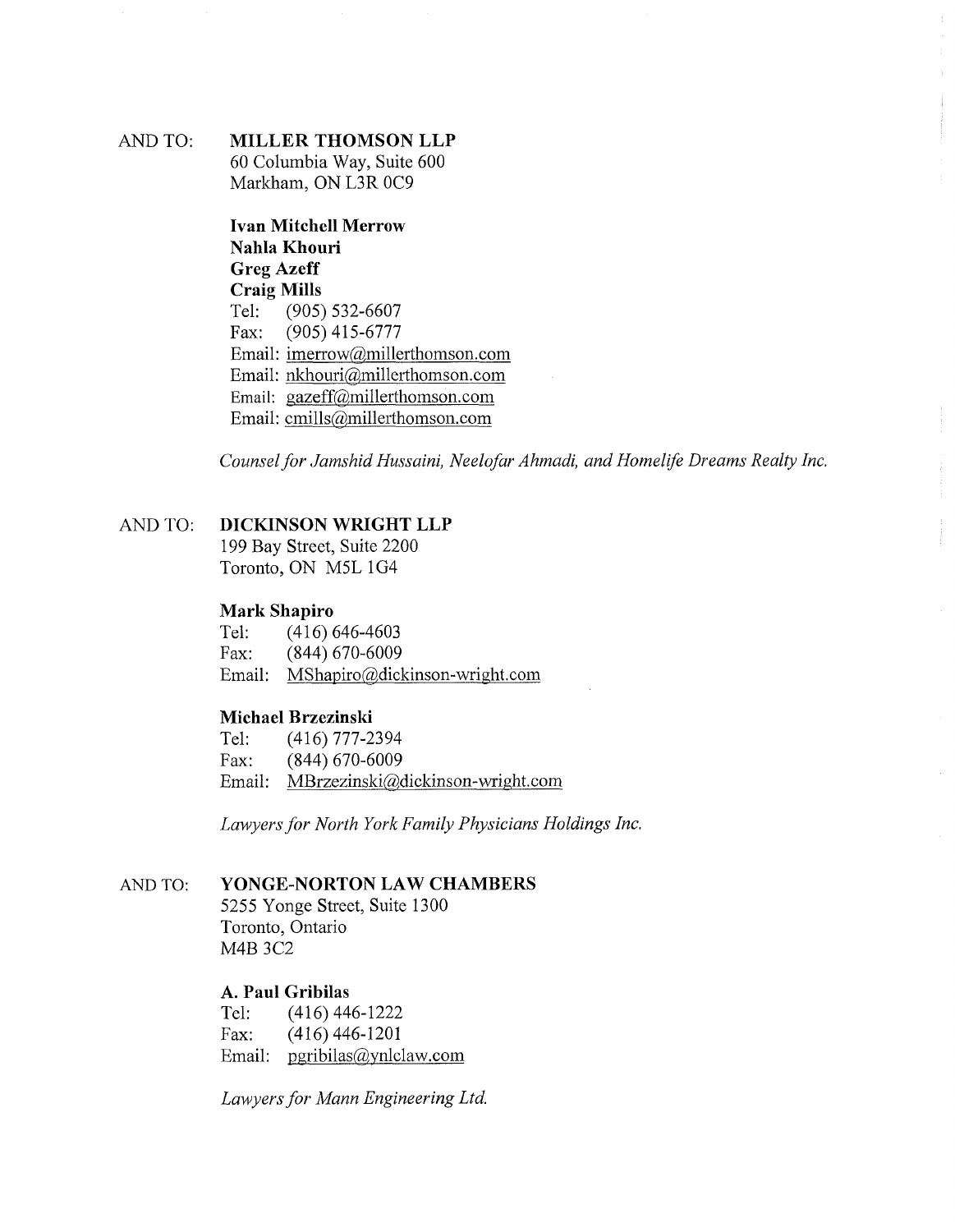# AND TO: **MILLER THOMSON LLP** 60 Columbia Way, Suite 600 Markham, ON L3R 0C9

**Ivan Mitchell Merrow Nahla Khouri Greg Azeff Craig Mills** Tel: (905) 532-6607 Fax: (905) 415-6777 Email: [imerrow@millerthomson.com](mailto:imerrow@millerthomson.com) Email: [nkhouri@millerthomson.com](mailto:nkhouri@millerthomson.com) Email: gazeff@millerthomson. com Email: [cmills@millerthomson.com](mailto:cmills@millerthomson.com)

*Counselfor Jamshid Hussaini*, *Neelofar Ahmadi, and Homelife Dreams Realty Inc.*

# AND TO: **DICKINSON WRIGHT LLP**

199 Bay Street, Suite 2200 Toronto, ON M5L 1G4

# **Mark Shapiro**

Tel: (416) 646-4603 Fax: (844) 670-6009 Email: [MShapiro@dickinson-wright.com](mailto:MShapiro@dickinson-wright.com)

# **Michael Brzezinski**

Tel: (416)777-2394 Fax: (844) 670-6009 Email: [MBrzezinski@dickinson-wright.com](mailto:MBrzezinski@dickinson-wright.com)

*Lawyersfor North York Family Physicians Holdings Inc.*

# AND TO: **YONGE-NORTON LAW CHAMBERS**

5255 Yonge Street, Suite 1300 Toronto, Ontario M4B 3C2

# **A. Paul Gribilas**

Tel: (416)446-1222 Fax: (416) 446-1201 Email: [pgribilas@ynlclaw.com](mailto:pgribilas@ynlclaw.com)

*Lawyersfor Mann Engineering Ltd.*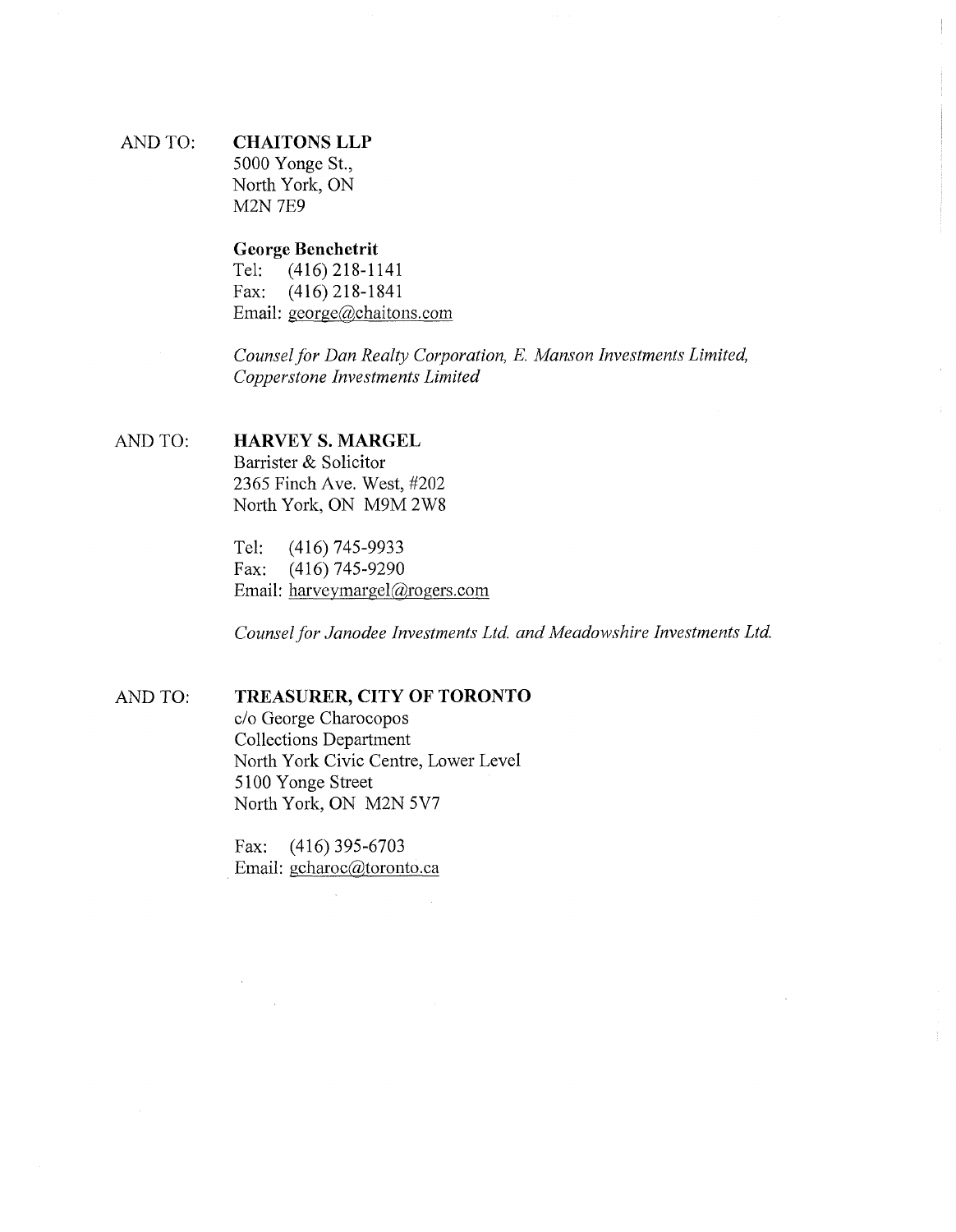# AND TO: **CHAITONS LLP** 5000 Yonge St.,

North York, ON M2N 7E9

# **George Benchetrit**

 $(416)$  218-1141 Fax: (416) 218-1841 Email: [george@chaitons.com](mailto:george@chaitons.com)

*Counselfor Dan Realty Corporation, E. Manson Investments Limited, Copperstone Investments Limited*

# AND TO: **HARVEY S. MARGEL**

Barrister & Solicitor 2365 Finch Ave. West, #202 North York, ON M9M 2W8

Tel: (416) 745-9933 Fax: (416) 745-9290 Email: [harvevmargel@rogers.com](mailto:harvevmargel@rogers.com)

*Counselfor Janodee Investments Ltd. and Meadowshire Investments Ltd.*

# AND TO. **TREASURER, CITY OF TORONTO**

c/o George Charocopos Collections Department North York Civic Centre, Lower Level 5100 Yonge Street North York, ON M2N 5V7

Fax: (416)395-6703 Email: gcharoc@toronto,ca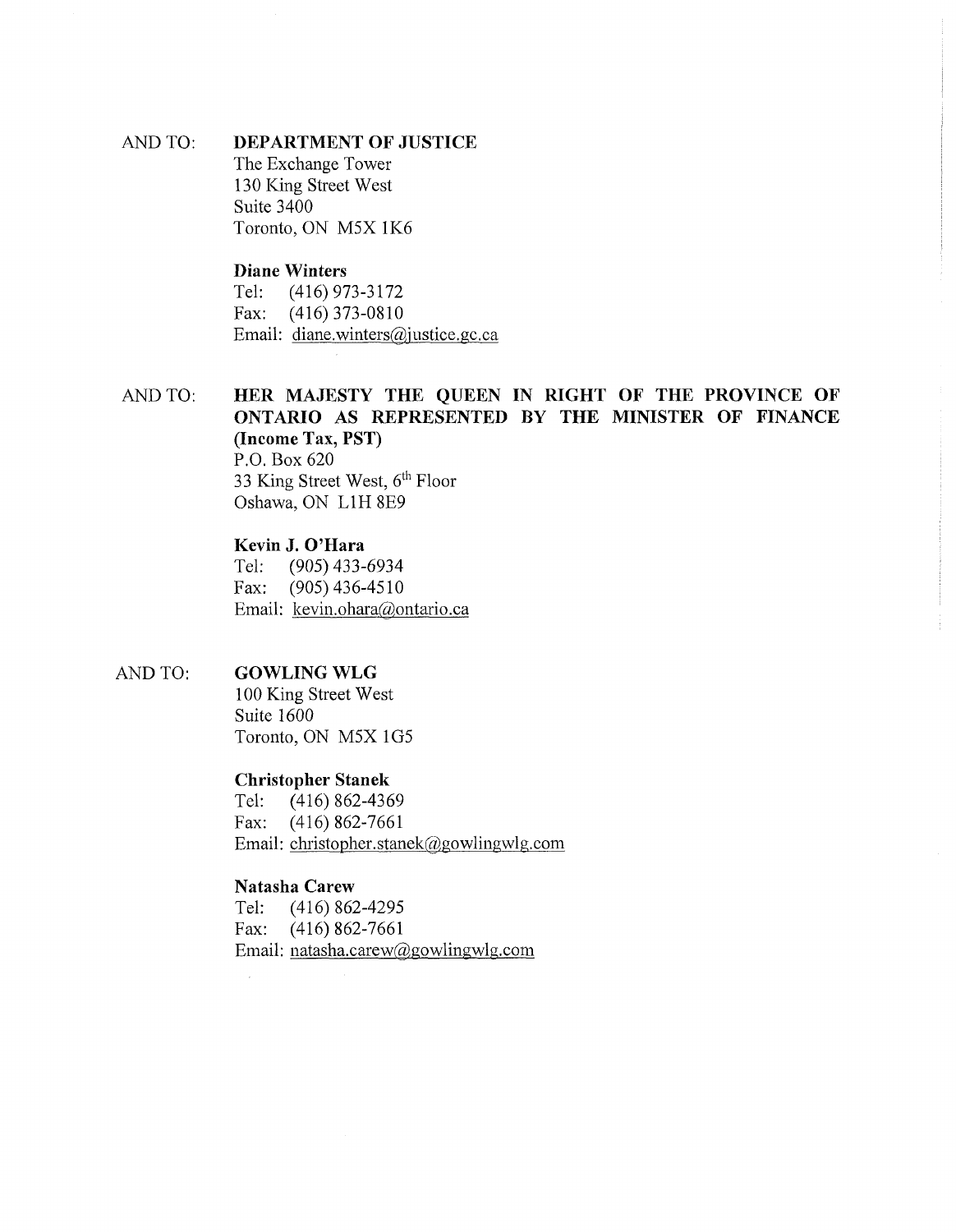AND TO: **DEPARTMENT OF JUSTICE** The Exchange Tower 130 King Street West Suite 3400 Toronto, ON M5X 1K6

# **Diane Winters**

Tel: (416) 973-3172 Fax: (416) 373-0810 Email: [diane.winters@justice.gc.ca](mailto:diane.winters@justice.gc.ca)

AND TO: **HER MAJESTY THE QUEEN IN RIGHT OF THE PROVINCE OF ONTARIO AS REPRESENTED BY THE MINISTER OF FINANCE (Income Tax, PST)** P.O. Box 620 33 King Street West,  $6<sup>th</sup>$  Floor Oshawa, ON L1H 8E9

# **Kevin J. O'Hara**

Tel: (905) 433-6934 Fax: (905) 436-4510 Email: kevin.ohara@ontario.ca

#### AND TO: **GOWLING WLG**

100 King Street West Suite 1600 Toronto, ON M5X 1G5

#### **Christopher Stanek**

Tel: (416) 862-4369 Fax: (416) 862-7661 Email: christopher.stanek@gowlingwlg.com

# **Natasha Carew**

Tel: (416) 862-4295 Fax: (416) 862-7661 Email: [natasha.carew@gowlingwlg.com](mailto:natasha.carew@gowlingwlg.com)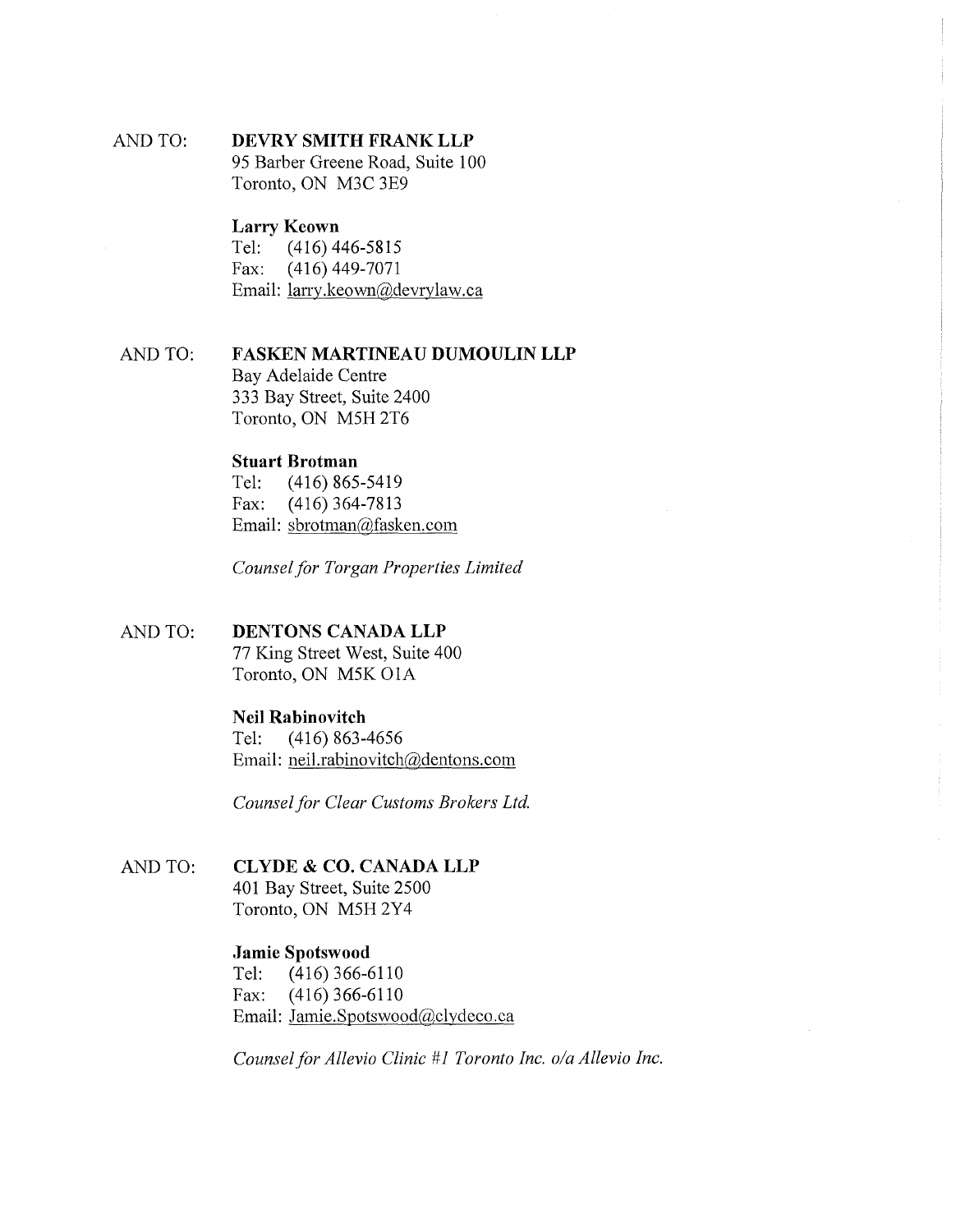# AND TO: **DEVRY SMITH FRANK LLP** 95 Barber Greene Road, Suite 100

Toronto, ON M3C 3E9

# **Larry Keown**

Tel: (416)446-5815 Fax: (416) 449-7071 Email: larry.keown@devrylaw.ca

# AND TO: **FASKEN MARTINEAU DUMOULIN LLP** Bay Adelaide Centre 333 Bay Street, Suite 2400 Toronto, ON M5H 2T6

# **Stuart Brotman**

Tel: (416) 865-5419 Fax: (416) 364-7813 Email: sbrotman@fasken.com

*Counselfor Torgan Properties Limited*

# AND TO: **DENTONS CANADA LLP** 77 King Street West, Suite 400 Toronto, ON M5K01A

# **Neil Rabinovitch**

Tel: (416) 863-4656 Email: neil.rabinovitch@dentons.com

*Counselfor Clear Customs Brokers Ltd.*

# AND TO: **CLYDE & CO. CANADA LLP**

401 Bay Street, Suite 2500 Toronto, ON M5FI2Y4

# **Jamie Spotswood**

Tel: (416) 366-6110 Fax: (416) 366-6110 Email: Jamie.Spotswood@clydeco.ca

*Counselfor Allevio Clinic #1 Toronto Inc. o/a Allevio Inc.*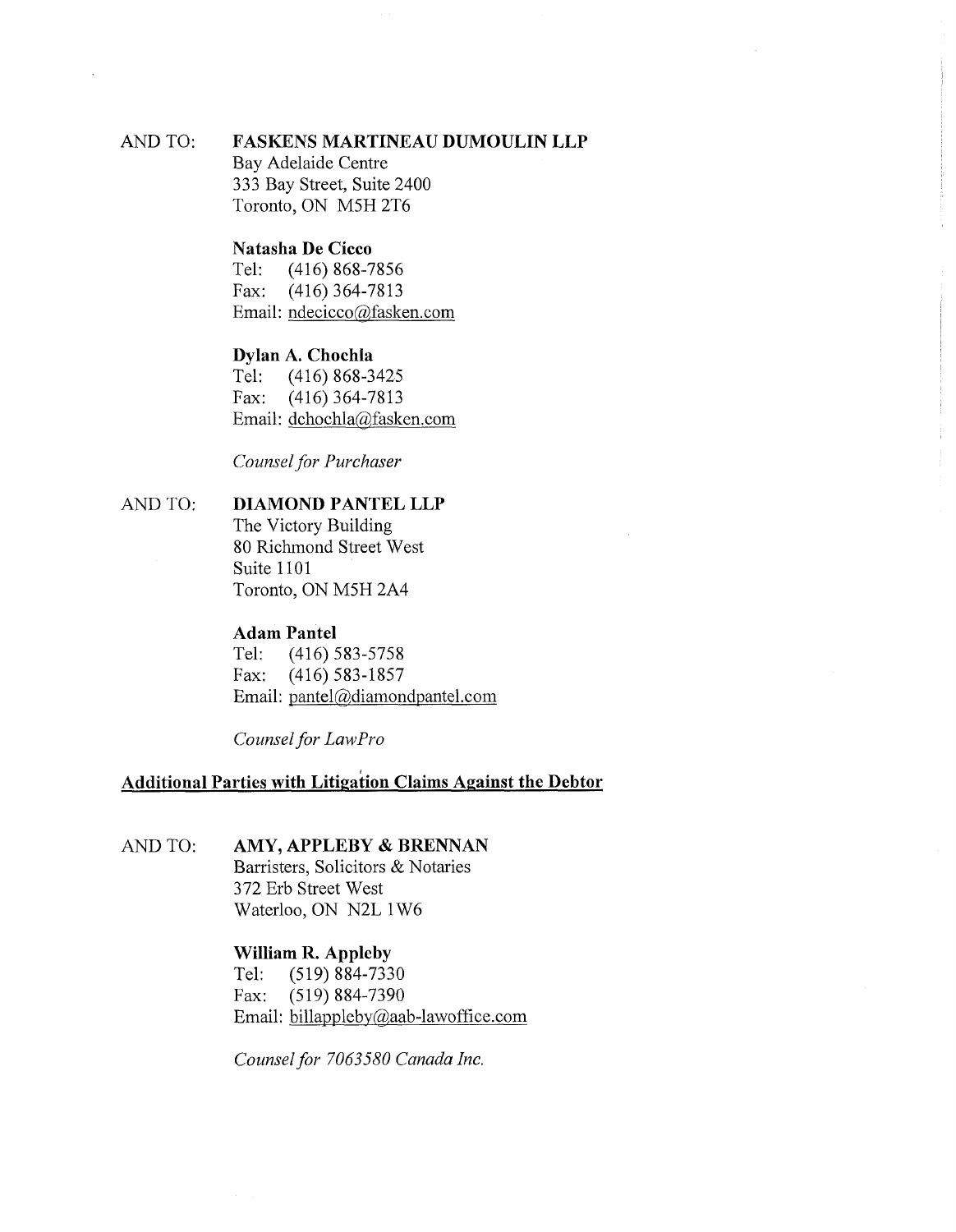## AND TO: **FASKENS MARTINEAU DUMOULIN LLP**

Bay Adelaide Centre 333 Bay Street, Suite 2400 Toronto, ON M5H 2T6

# **Natasha De Cicco**<br>Tel: (416) 868-7

(416) 868-7856 Fax: (416) 364-7813 Email: [ndecicco@fasken.com](mailto:ndecicco@fasken.com)

# **Dylan A. Chochla**

Tel: (416) 868-3425 Fax: (416) 364-7813 Email: [dchochla@fasken.com](mailto:dchochla@fasken.com)

*Counselfor Purchaser*

# AND TO: **DIAMOND PANTEL LLP**

The Victory Building 80 Richmond Street West Suite 1101 Toronto, ON M5H 2A4

## **Adam Pantel**

Tel: (416) 583-5758 Fax: (416) 583-1857 Email: [pantel@diamondpantel.com](mailto:pantel@diamondpantel.com)

*Counselfor LawPro*

# **Additional Parties with Litigation Claims Against the Debtor**

# AND TO: **AMY, APPLEBY & BRENNAN**

Barristers, Solicitors & Notaries 372 Erb Street West Waterloo, ON N2L 1W6

# **William R. Appleby**

Tel: (519) 884-7330 Fax: (519) 884-7390 Email: [billapplebv@aab-lawoffice.com](mailto:billapplebv@aab-lawoffice.com)

*Counselfor 7063580 Canada Inc.*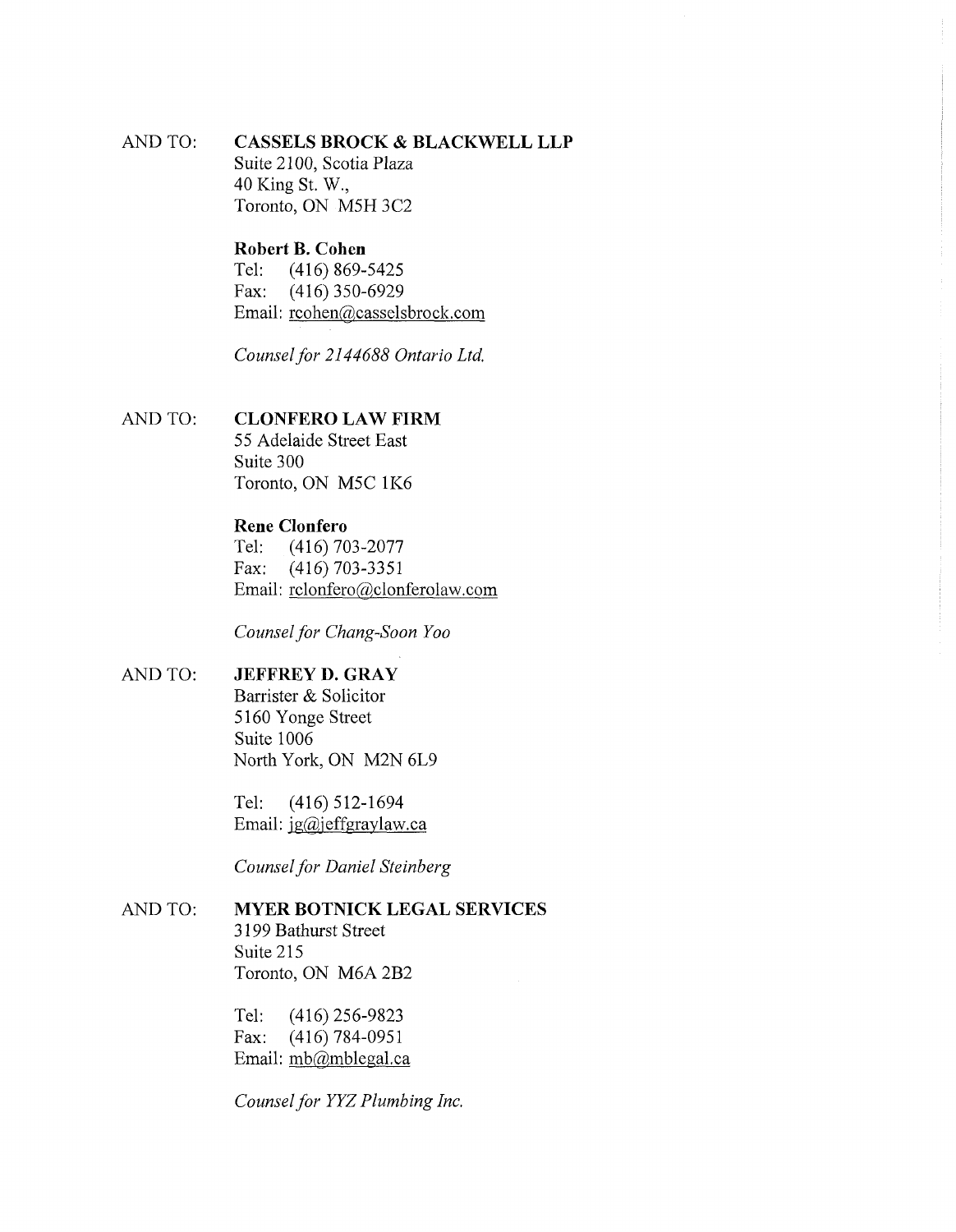AND TO: **CASSELS BROCK & BLACKWELL LLP** Suite 2100, Scotia Plaza 40 King St. W, Toronto, ON M5H 3C2

# **Robert B. Cohen**<br>Tel: (416) 869-

Tel: (416) 869-5425<br>Fax: (416) 350-6929  $(416)$  350-6929 Email: [rcohen@casselsbrock.com](mailto:rcohen@casselsbrock.com)

*Counselfor 2144688 Ontario Ltd.*

#### AND TO: **CLONFERO LAW FIRM**

55 Adelaide Street East Suite 300 Toronto, ON M5C 1K6

# **Rene Clonfero**

Tel: (416) 703-2077 Fax: (416) 703-3351 Email: [rclonfero@clonferolaw.com](mailto:rclonfero@clonferolaw.com)

*Counselfor Chang-Soon Yoo*

#### AND TO: **JEFFREY D. GRAY**

Barrister & Solicitor 5160 Yonge Street Suite 1006 North York, ON M2N 6L9

Tel: (416) 512-1694 Email: jg@jeffgraylaw.ca

*Counselfor Daniel Steinberg*

#### AND TO: **MYER BOTNICK LEGAL SERVICES**

3199 Bathurst Street Suite 215 Toronto, ON M6A 2B2

Tel: (416) 256-9823 Fax: (416) 784-0951 Email: [mb@mblegal.ca](mailto:mb@mblegal.ca)

*Counselfor YYZ Plumbing Inc.*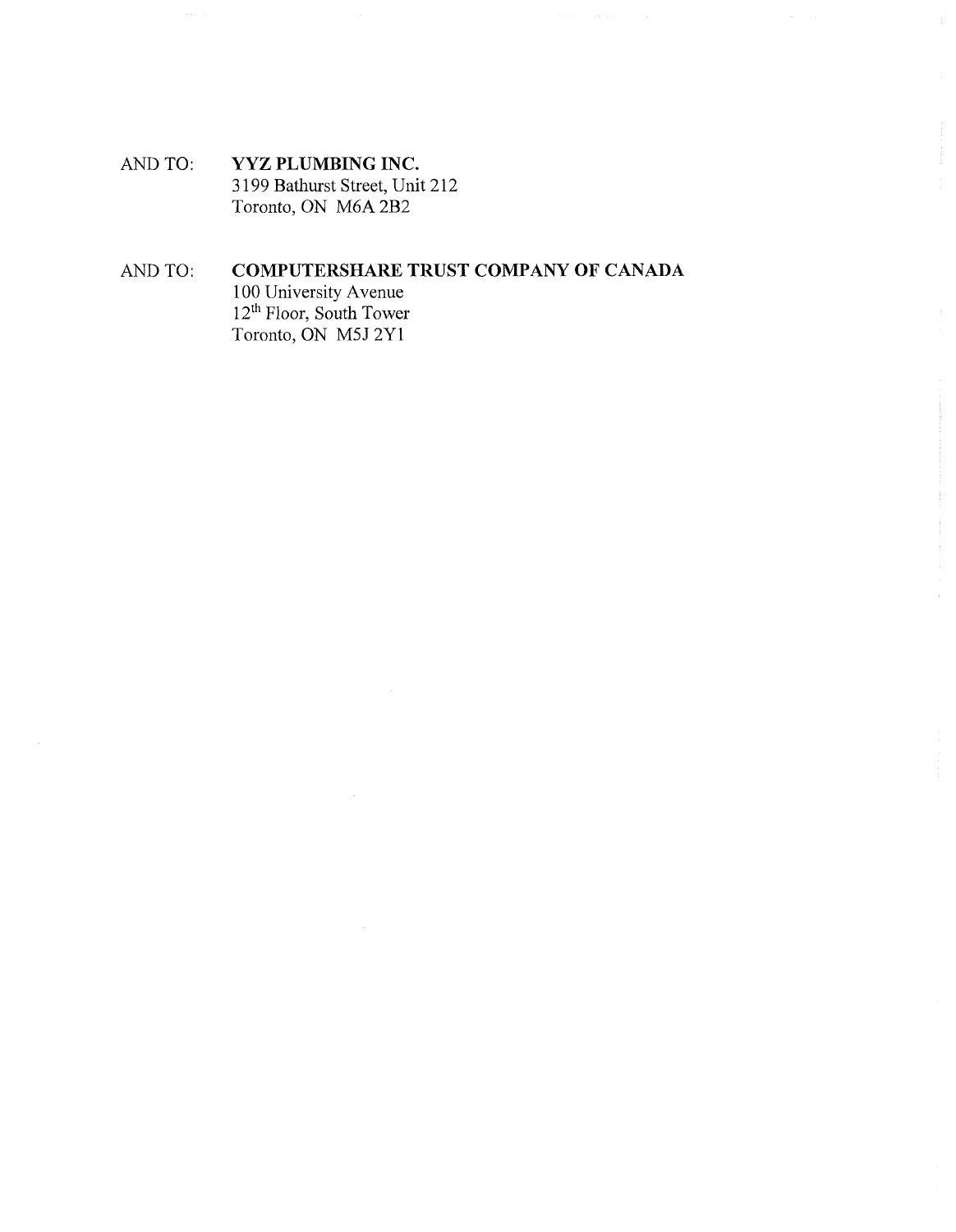AND TO: **YYZ PLUMBING INC.** 3199 Bathurst Street, Unit 212 Toronto, ON M6A 2B2

# AND TO: **COMPUTERSHARE TRUST COMPANY OF CANADA**

100 University Avenue 12<sup>th</sup> Floor, South Tower Toronto, ON M5J 2Y1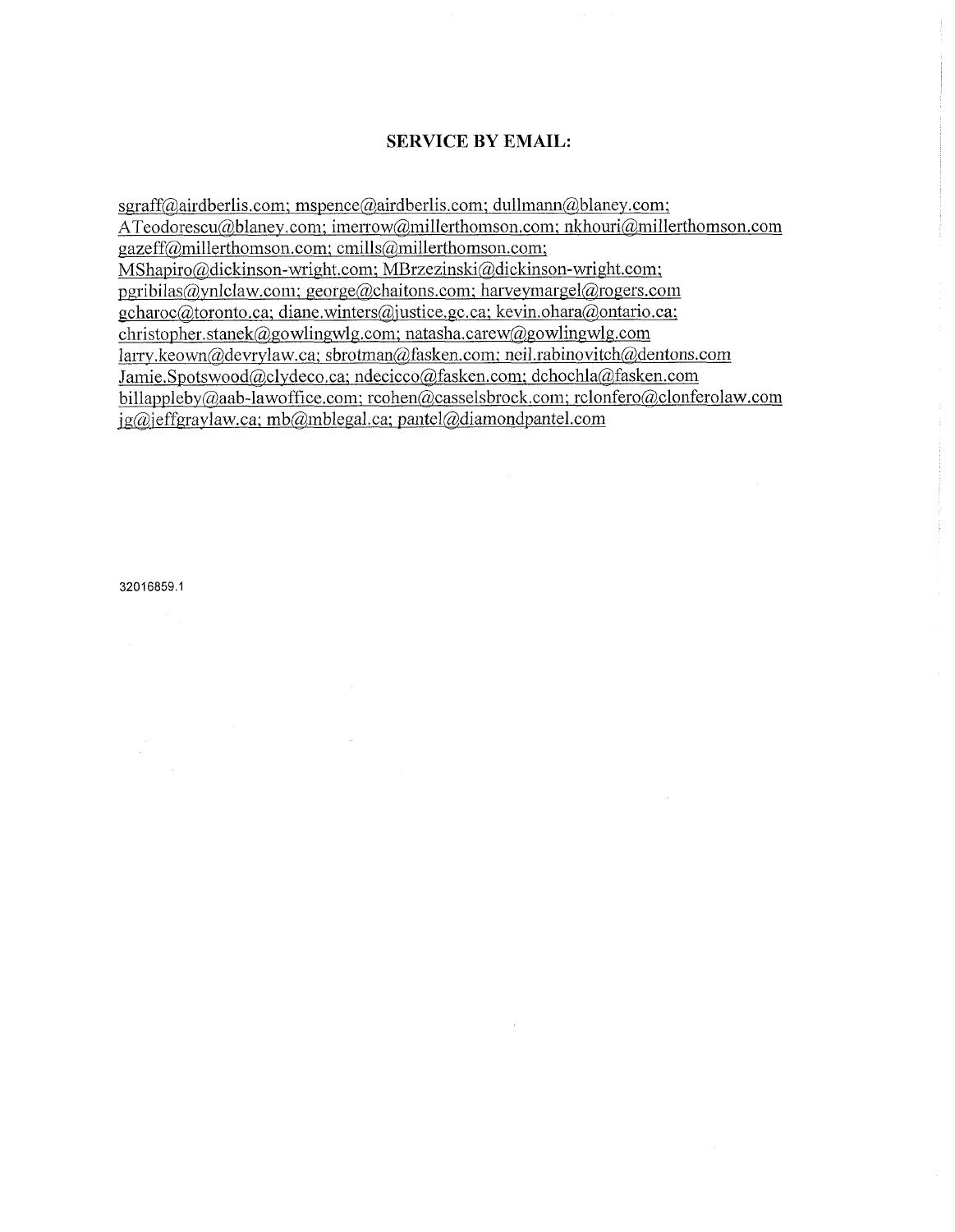# SERVICE BY EMAIL:

 $sgraff@airdberlis.com; mspence@airdberlis.com; dullmann@blaney.com;$  $sgraff@airdberlis.com; mspence@airdberlis.com; dullmann@blaney.com;$  $sgraff@airdberlis.com; mspence@airdberlis.com; dullmann@blaney.com;$  $sgraff@airdberlis.com; mspence@airdberlis.com; dullmann@blaney.com;$ [ATeodorescu@blaney.com;](mailto:ATeodorescu@blaney.com) [imerrow@millerthomson.com;](mailto:imerrow@millerthomson.com) nkhouri@millerthomson.com [gazeff@millerthomson.com;](mailto:gazeff@millerthomson.com) [cmills@millerthomson.com;](mailto:cmills@millerthomson.com) [MShapiro@dickinson-wright.com;](mailto:MShapiro@dickinson-wright.com) [MBrzezinski@dickinson-wright.com;](mailto:MBrzezinski@dickinson-wright.com) [pgribilas@ynlclaw.com;](mailto:pgribilas@ynlclaw.com) [george@chaitons.com;](mailto:george@chaitons.com) [harveymargel@rogers.com](mailto:harveymargel@rogers.com) gcharoc@toronto. ca; diane.winters@iustice. gc. ca; lcevin.ohara@ontario,ca; [christopher.stanek@gowlingwlg.com](mailto:christopher.stanek@gowlingwlg.com); [natasha.carew@gowlingwlg.com](mailto:natasha.carew@gowlingwlg.com) [larry.keown@devrylaw.ca](mailto:larry.keown@devrylaw.ca); [sbrotman@fasken.com](mailto:sbrotman@fasken.com); [neil.rabinovitch@dentons.com](mailto:neil.rabinovitch@dentons.com) Jamie.Spotswood@,clydeco,ca; [ndecicco@fasken.com;](mailto:ndecicco@fasken.com) [dchochla@fasken.com](mailto:dchochla@fasken.com) [billappleby@aab-lawoffice.com;](mailto:billappleby@aab-lawoffice.com) [rcohen@casselsbrock.com](mailto:rcohen@casselsbrock.com); [rclonfero@clonferolaw.com](mailto:rclonfero@clonferolaw.com) [ig@ieffgraylaw.ca;](mailto:ig@ieffgraylaw.ca) [mb@mblegal.ca](mailto:mb@mblegal.ca); [pantel@diamondpantel.com](mailto:pantel@diamondpantel.com)

32016859.1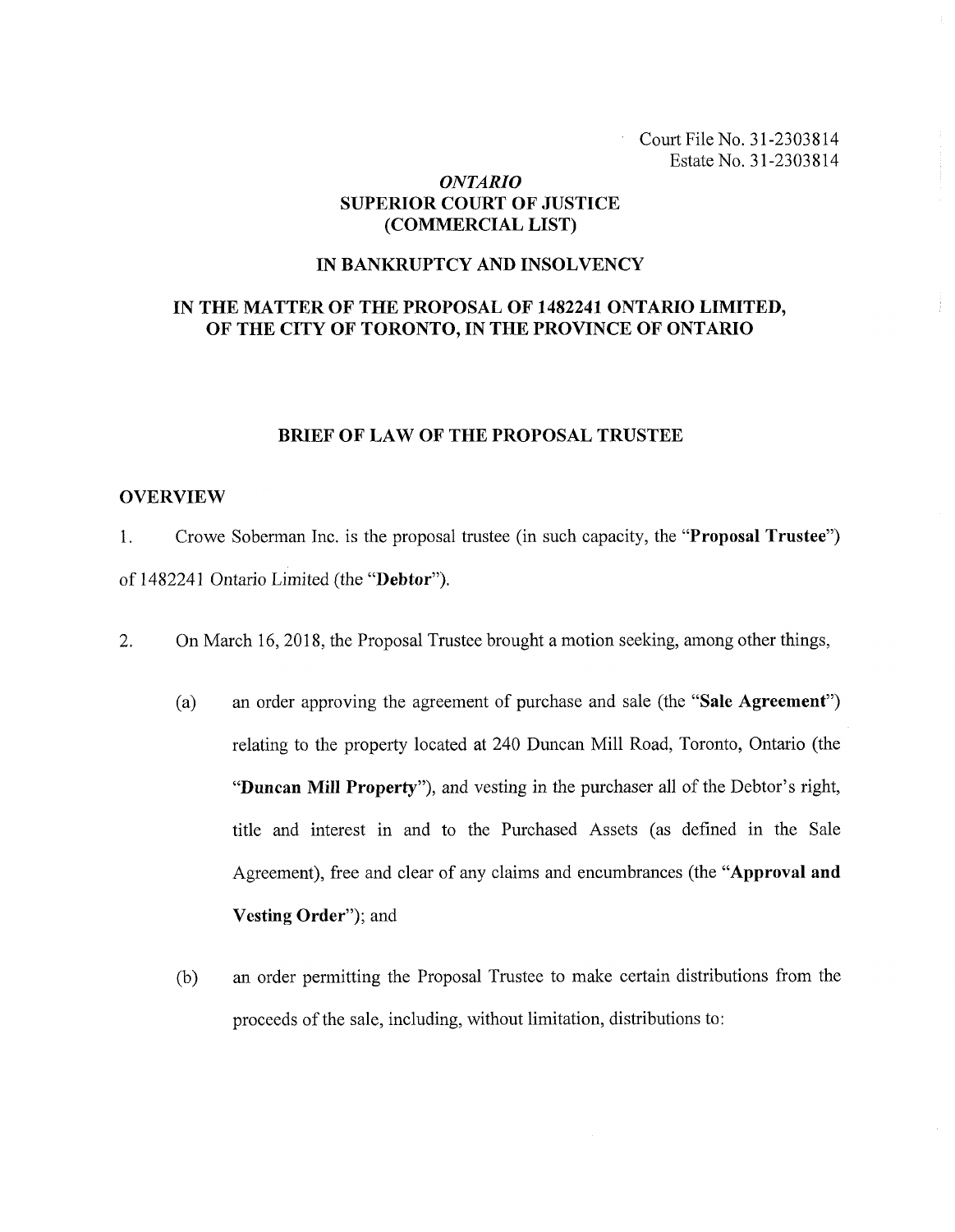Court File No. 31-2303814 Estate No. 31-2303814

# *ONTARIO* **SUPERIOR COURT OF JUSTICE (COMMERCIAL LIST)**

### **IN BANKRUPTCY AND INSOLVENCY**

# **IN THE MATTER OF THE PROPOSAL OF 1482241 ONTARIO LIMITED, OF THE CITY OF TORONTO, IN THE PROVINCE OF ONTARIO**

### **BRIEF OF LAW OF THE PROPOSAL TRUSTEE**

#### **OVERVIEW**

**1.** Crowe Soberman Inc. is the proposal trustee (in such capacity, the **"Proposal Trustee")** of **1482241** Ontario Limited (the **"Debtor").**

- **2.** On March **16, 2018,** the Proposal Trustee brought a motion seeking, among other things,
	- (a) an order approving the agreement of purchase and sale (the **"Sale Agreement")** relating to the property located at 240 Duncan Mill Road, Toronto, Ontario (the "Duncan Mill Property"), and vesting in the purchaser all of the Debtor's right, title and interest in and to the Purchased Assets (as defined in the Sale Agreement), free and clear of any claims and encumbrances (the **"Approval and Vesting Order");** and
	- (b) an order permitting the Proposal Trustee to make certain distributions from the proceeds of the sale, including, without limitation, distributions to: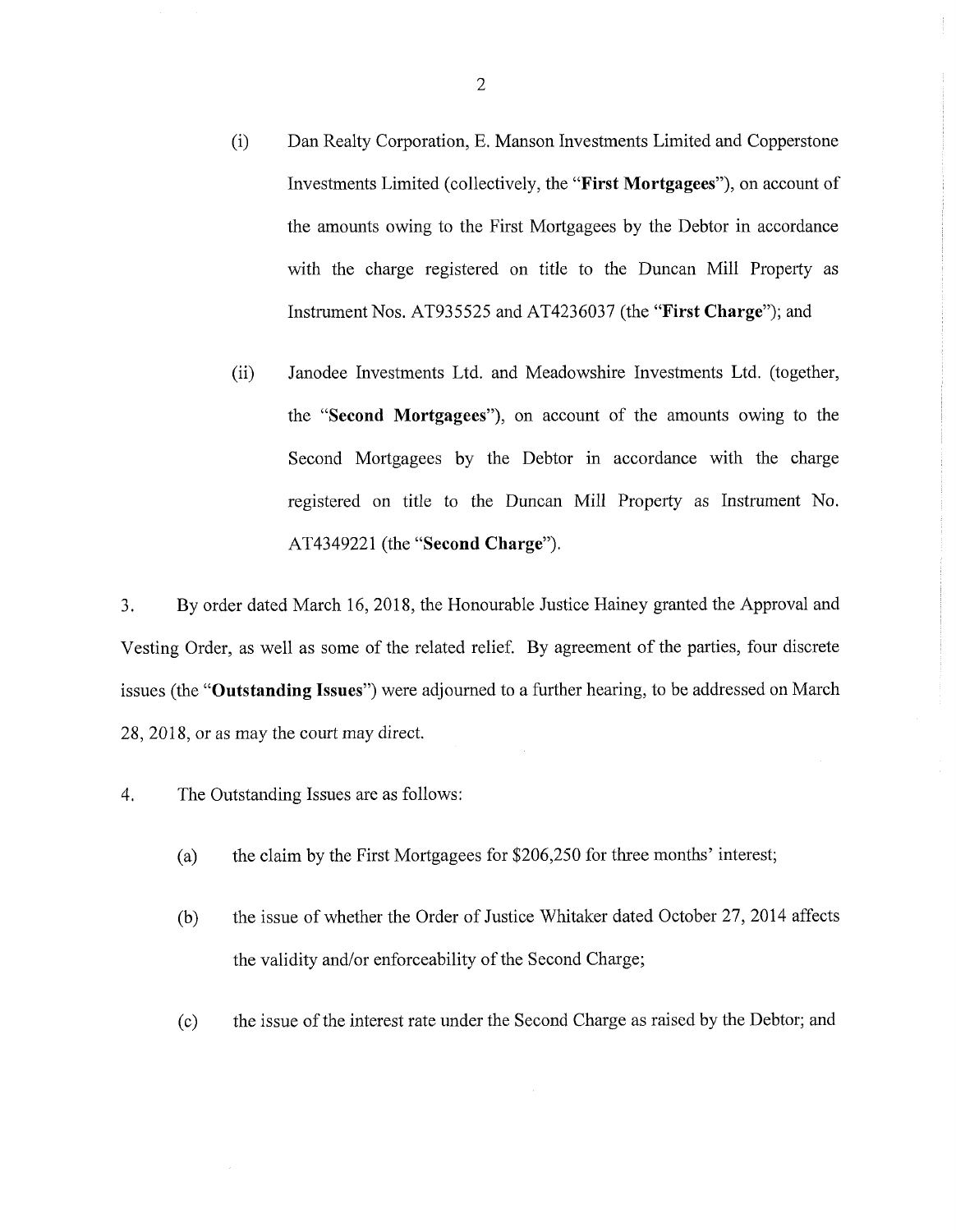- (i) Dan Realty Corporation, E. Manson Investments Limited and Copperstone Investments Limited (collectively, the **"First Mortgagees"),** on account of the amounts owing to the First Mortgagees by the Debtor in accordance with the charge registered on title to the Duncan Mill Property as Instrument Nos. AT935525 and AT4236037 (the **"First Charge");** and
- (ii) Janodee Investments Ltd. and Meadowshire Investments Ltd. (together, the **"Second Mortgagees"),** on account of the amounts owing to the Second Mortgagees by the Debtor in accordance with the charge registered on title to the Duncan Mill Property as Instrument No. AT4349221 (the **"Second Charge").**

3. By order dated March 16, 2018, the Honourable Justice Hainey granted the Approval and Vesting Order, as well as some of the related relief. By agreement of the parties, four discrete issues (the **"Outstanding Issues")** were adjourned to a further hearing, to be addressed on March 28, 2018, or as may the court may direct.

- 4. The Outstanding Issues are as follows:
	- (a) the claim by the First Mortgagees for \$206,250 for three months' interest;
	- (b) the issue of whether the Order of Justice Whitaker dated October 27, 2014 affects the validity and/or enforceability of the Second Charge;
	- (c) the issue ofthe interest rate under the Second Charge as raised by the Debtor; and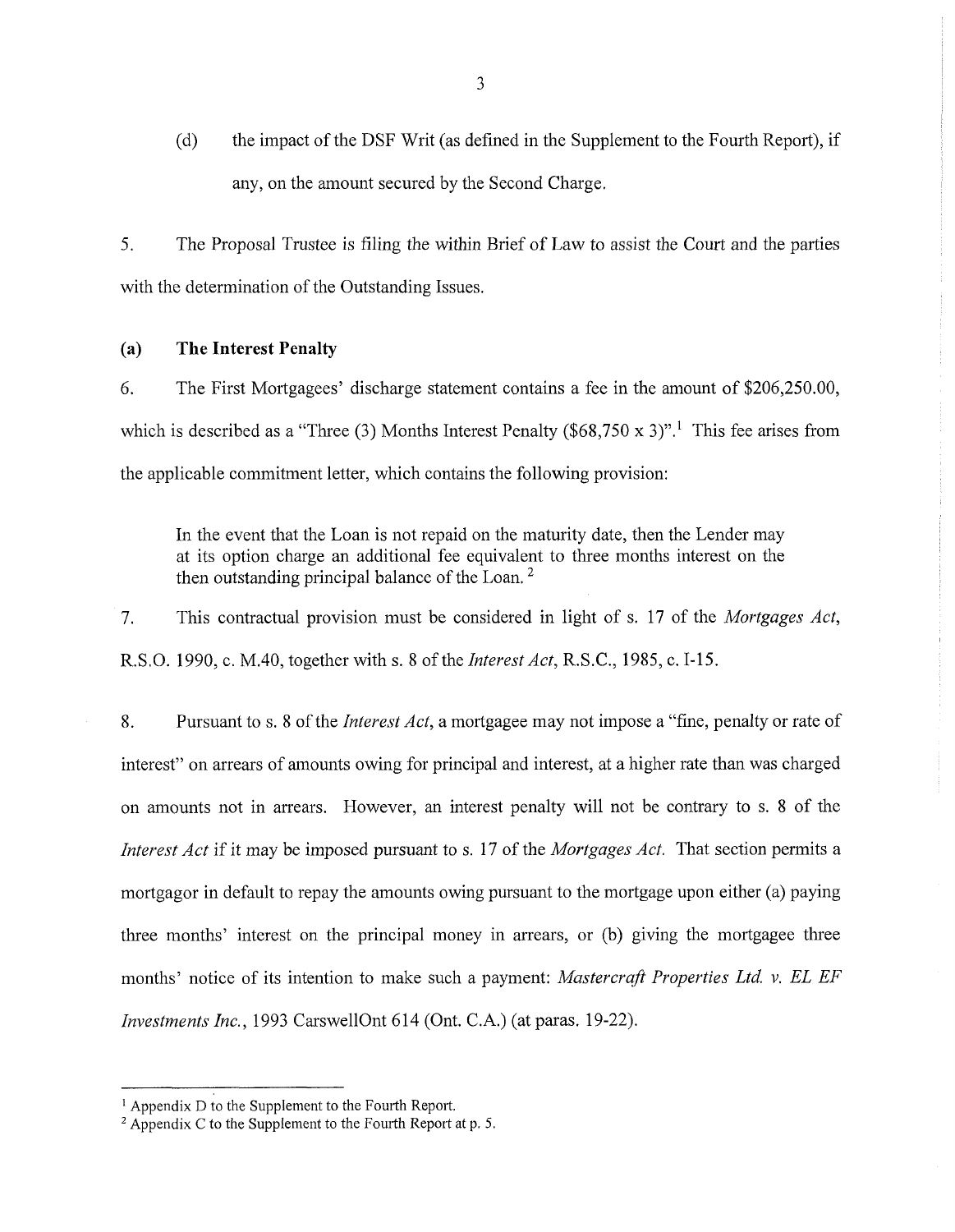(d) the impact of the DSF Writ (as defined in the Supplement to the Fourth Report), if any, on the amount secured by the Second Charge.

5. The Proposal Trustee is filing the within Brief of Law to assist the Court and the parties with the determination of the Outstanding Issues.

# **(a) The Interest Penalty**

6. The First Mortgagees' discharge statement contains a fee in the amount of \$206,250.00, which is described as a "Three (3) Months Interest Penalty (\$68,750 x 3)".<sup>1</sup> This fee arises from the applicable commitment letter, which contains the following provision:

In the event that the Loan is not repaid on the maturity date, then the Lender may at its option charge an additional fee equivalent to three months interest on the then outstanding principal balance of the Loan.<sup>2</sup>

7. This contractual provision must be considered in light of s. 17 of the *Mortgages Act,* R.S.O. 1990, c. M.40, together with s. 8 ofthe *InterestAct,* R.S.C., 1985, c. 1-15.

8. Pursuant to s. 8 ofthe *Interest Act,* a mortgagee may not impose a "fine, penalty or rate of interest" on arrears of amounts owing for principal and interest, at a higher rate than was charged on amounts not in arrears. However, an interest penalty will not be contrary to s. <sup>8</sup> of the *Interest Act* if it may be imposed pursuant to s. 17 of the *Mortgages Act.* That section permits a mortgagor in default to repay the amounts owing pursuant to the mortgage upon either (a) paying three months' interest on the principal money in arrears, or (b) giving the mortgagee three months' notice of its intention to make such a payment: *Mastercraft Properties Ltd. v. EL EF Investments Inc.,* 1993 CarswellOnt 614 (Ont. C.A.) (at paras. 19-22).

<sup>&</sup>lt;sup>1</sup> Appendix D to the Supplement to the Fourth Report.

<sup>&</sup>lt;sup>2</sup> Appendix C to the Supplement to the Fourth Report at p. 5.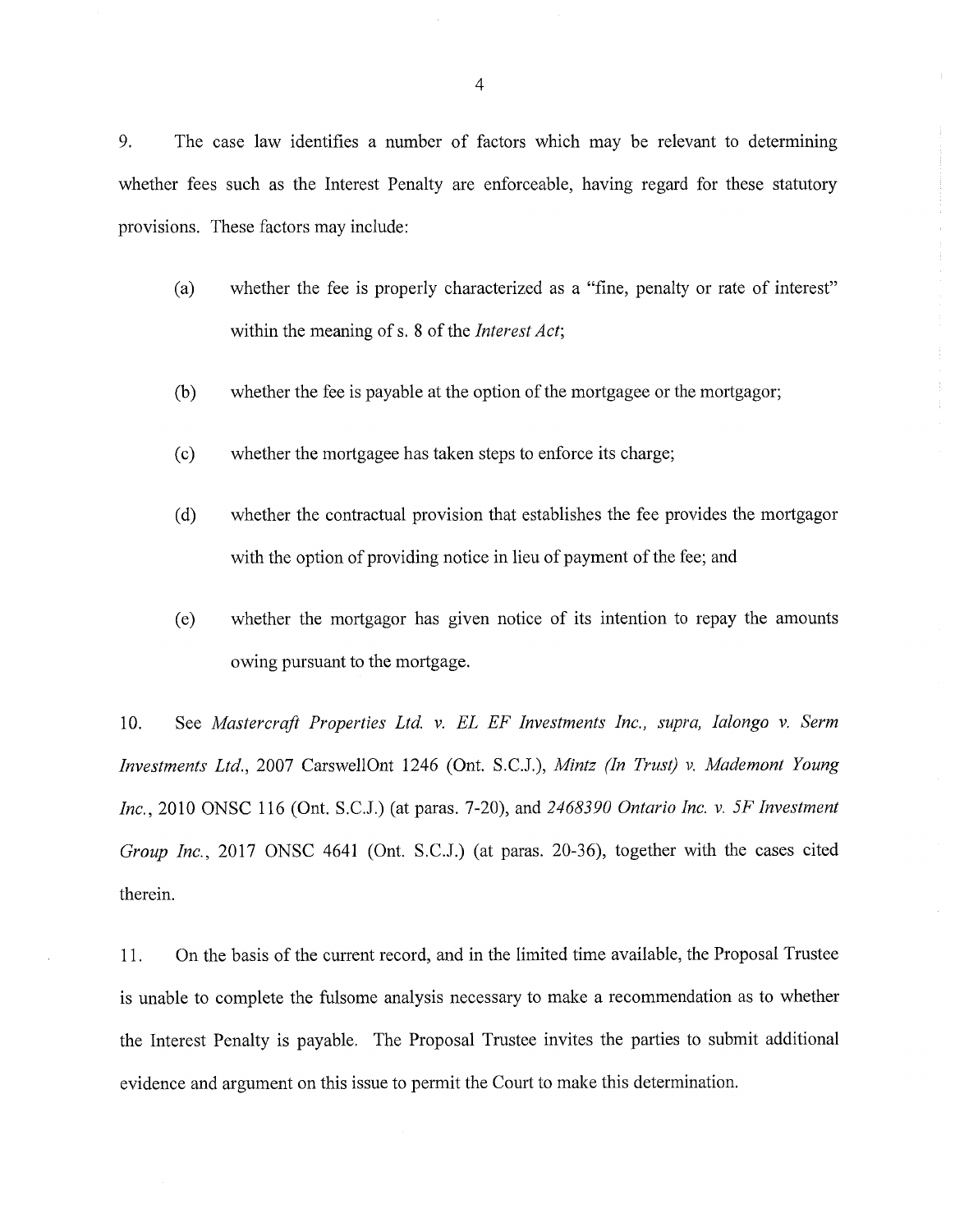9. The case law identifies a number of factors which may be relevant to determining whether fees such as the Interest Penalty are enforceable, having regard for these statutory provisions. These factors may include:

- (a) whether the fee is properly characterized as a "fine, penalty or rate of interest" within the meaning of s. 8 of the *Interest Act*;
- $(b)$  whether the fee is payable at the option of the mortgagee or the mortgagor;
- (c) whether the mortgagee has taken steps to enforce its charge;
- (d) whether the contractual provision that establishes the fee provides the mortgagor with the option of providing notice in lieu of payment of the fee; and
- (e) whether the mortgagor has given notice of its intention to repay the amounts owing pursuant to the mortgage.

10. See *Mastercraft Properties Ltd.* v. *EL EF Investments Inc., supra, Ialongo v. Serm Investments Ltd.,* 2007 CarswellOnt 1246 (Ont. S.C.J.), *Mintz (In Trust) v. Mademont Young Inc.,* 2010 ONSC 116 (Ont. S.C.J.) (at paras. 7-20), and 2468390 Ontario Inc. v. 5F Investment *Group Inc.,* 2017 ONSC 4641 (Ont. S.C.J.) (at paras. 20-36), together with the cases cited therein.

11. On the basis of the current record, and in the limited time available, the Proposal Trustee is unable to complete the fulsome analysis necessary to make a recommendation as to whether the Interest Penalty is payable. The Proposal Trustee invites the parties to submit additional evidence and argument on this issue to permit the Court to make this determination.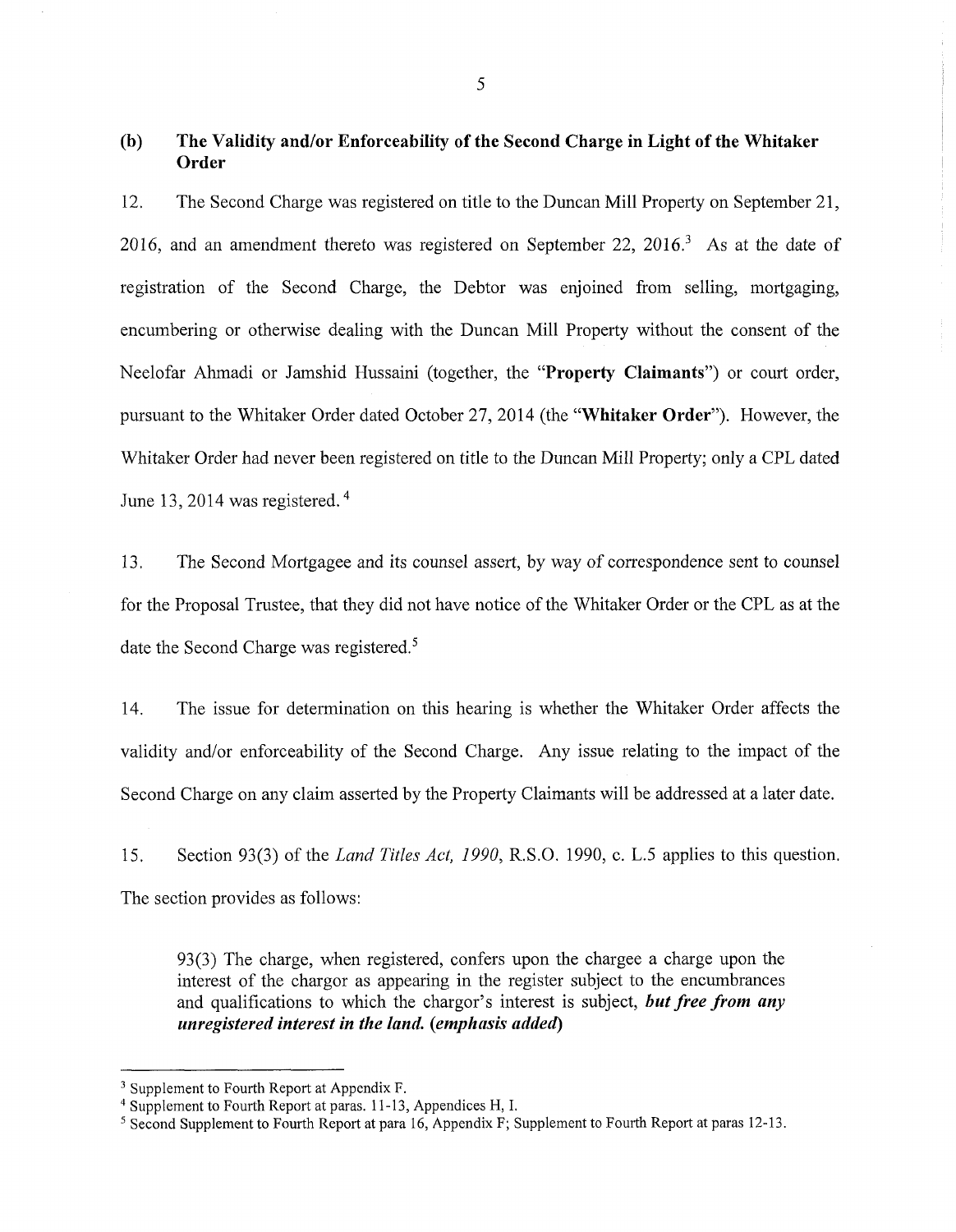# **(b) The Validity and/or Enforceability of the Second Charge in Light ofthe Whitaker Order**

**12.** The Second Charge was registered on title to the Duncan Mill Property on September **21, 2016,** and an amendment thereto was registered on September **22, 2016.3** As at the date of registration of the Second Charge, the Debtor was enjoined from selling, mortgaging, encumbering or otherwise dealing with the Duncan Mill Property without the consent of the Neelofar Ahmadi or Jamshid Hussaini (together, the **"Property Claimants")** or court order, pursuant to the Whitaker Order dated October **27, 2014** (the **"Whitaker Order").** However, the Whitaker Order had never been registered on title to the Duncan Mill Property; only a CPL dated June **13, 2014** was registered.4

13. The Second Mortgagee and its counsel assert, by way of correspondence sent to counsel for the Proposal Trustee, that they did not have notice of the Whitaker Order or the CPL as at the date the Second Charge was registered.<sup>5</sup>

14. The issue for determination on this hearing is whether the Whitaker Order affects the validity and/or enforceability of the Second Charge. Any issue relating to the impact of the Second Charge on any claim asserted by the Property Claimants will be addressed at a later date.

15. Section 93(3) of the *Land Titles Act, 1990,* R.S.O. 1990, c. L.5 applies to this question. The section provides as follows:

93(3) The charge, when registered, confers upon the chargee a charge upon the interest of the chargor as appearing in the register subject to the encumbrances and qualifications to which the chargor's interest is subject, *but free from any unregistered interest in the land, {emphasis added)*

<sup>&</sup>lt;sup>3</sup> Supplement to Fourth Report at Appendix F.

<sup>4</sup> Supplement to Fourth Report at paras. 11-13, Appendices H, I.

<sup>5</sup> Second Supplement to Fourth Report at para 16, Appendix F; Supplement to Fourth Report at paras 12-13.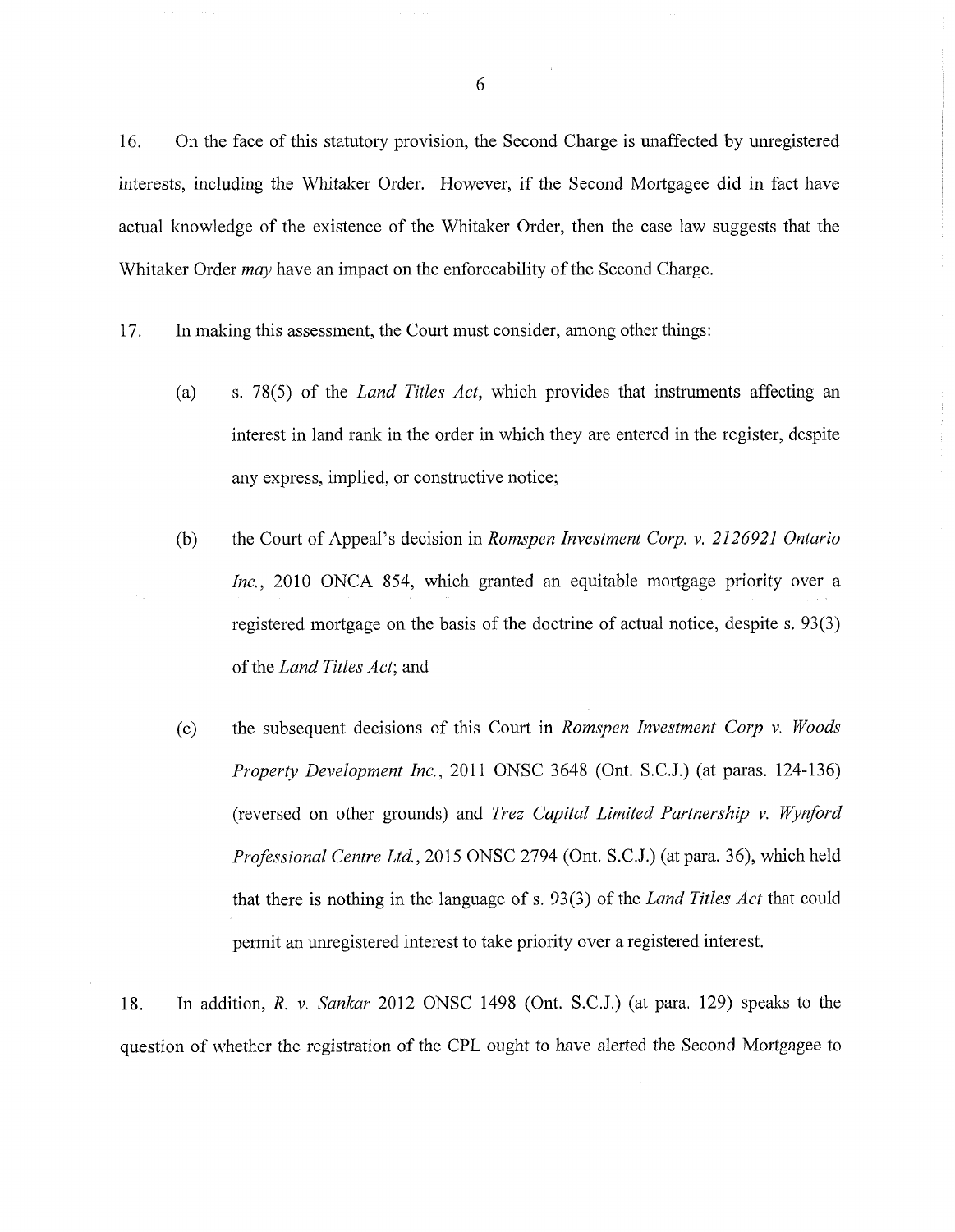16. On the face of this statutory provision, the Second Charge is unaffected by unregistered interests, including the Whitaker Order. However, if the Second Mortgagee did in fact have actual knowledge of the existence of the Whitaker Order, then the case law suggests that the Whitaker Order *may* have an impact on the enforceability of the Second Charge.

- 17. In making this assessment, the Court must consider, among other things:
	- (a) s. 78(5) of the *Land Titles Act,* which provides that instruments affecting an interest in land rank in the order in which they are entered in the register, despite any express, implied, or constructive notice;
	- (b) the Court of Appeal's decision in *Romspen Investment Corp.* v. *2126921 Ontario Inc.,* 2010 ONCA 854, which granted an equitable mortgage priority over a registered mortgage on the basis of the doctrine of actual notice, despite s. 93(3) ofthe *Land Titles Act',* and
	- (c) the subsequent decisions of this Court in *Romspen Investment Corp* v. *Woods Property Development Inc.,* 2011 ONSC 3648 (Ont. S.C.J.) (at paras. 124-136) (reversed on other grounds) and *Trez Capital Limited Partnership v. Wynford Professional Centre Ltd.,* 2015 ONSC 2794 (Ont. S.C.J.) (at para. 36), which held that there is nothing in the language of s. 93(3) of the *Land Titles Act* that could permit an unregistered interest to take priority over a registered interest.

18. In addition, *R.* v. *Sankar* 2012 ONSC 1498 (Ont. S.C.J.) (at para. 129) speaks to the question of whether the registration of the CPL ought to have alerted the Second Mortgagee to

6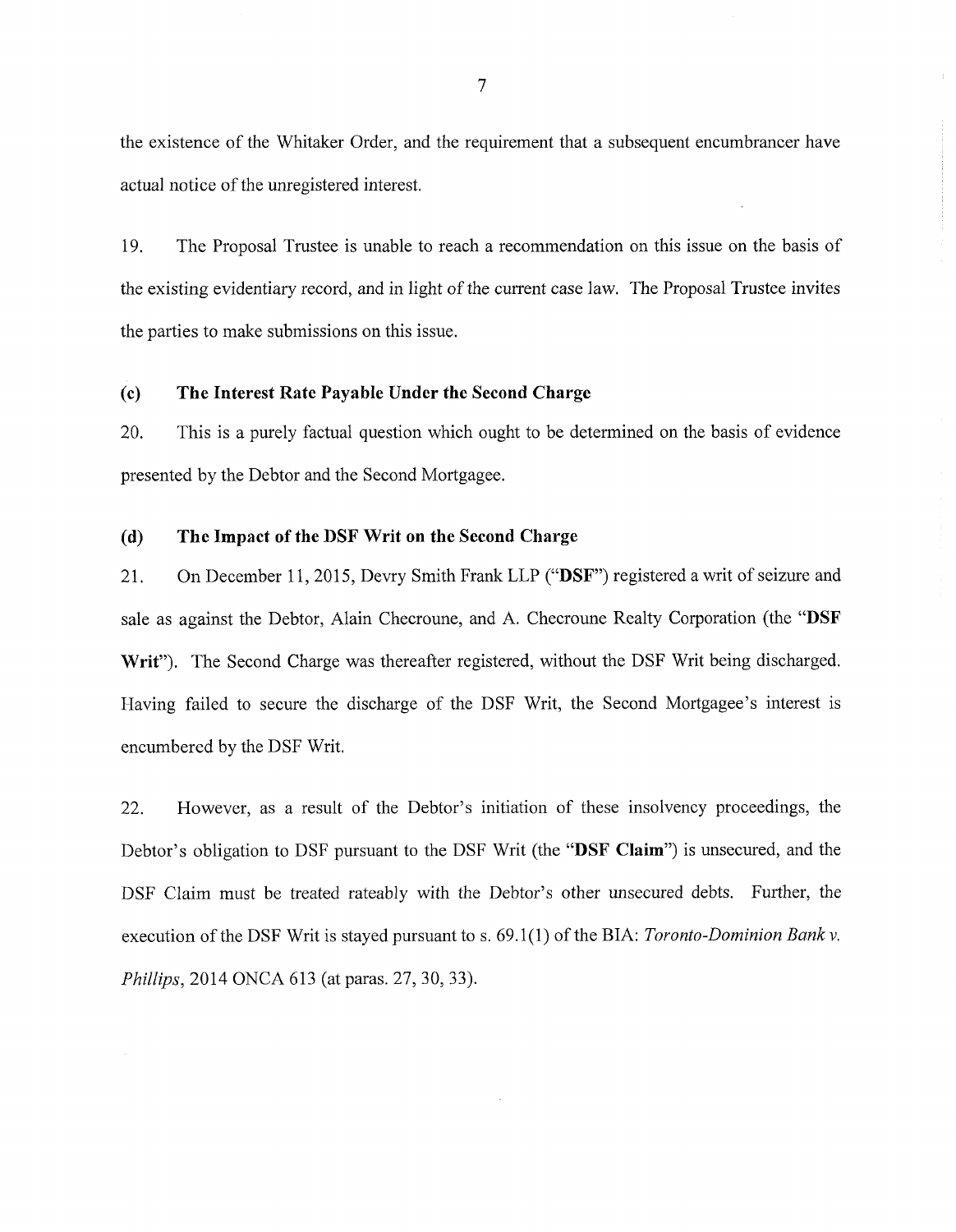the existence of the Whitaker Order, and the requirement that a subsequent encumbrancer have actual notice of the unregistered interest.

19. The Proposal Trustee is unable to reach a recommendation on this issue on the basis of the existing evidentiary record, and in light of the current case law. The Proposal Trustee invites the parties to make submissions on this issue.

# **(c) The Interest Rate Payable Under the Second Charge**

20. This is a purely factual question which ought to be determined on the basis of evidence presented by the Debtor and the Second Mortgagee.

### **(d) The Impact of the DSF Writ on the Second Charge**

21. On December 11, 2015, Devry Smith Frank LLP ("DSF") registered a writ of seizure and sale as against the Debtor, Alain Checroune, and A. Checroune Realty Corporation (the **"DSF Writ").** The Second Charge was thereafter registered, without the DSF Writ being discharged. Flaving failed to secure the discharge of the DSF Writ, the Second Mortgagee's interest is encumbered by the DSF Writ,

22. However, as a result of the Debtor's initiation of these insolvency proceedings, the Debtor's obligation to DSF pursuant to the DSF Writ (the **"DSF Claim")** is unsecured, and the DSF Claim must be treated rateably with the Debtor's other unsecured debts. Further, the execution of the DSF Writ is stayed pursuant to s. 69.1(1) of the BIA: *Toronto-Dominion Bank v*. *Phillips,* 2014 ONCA 613 (at paras. 27, 30, 33).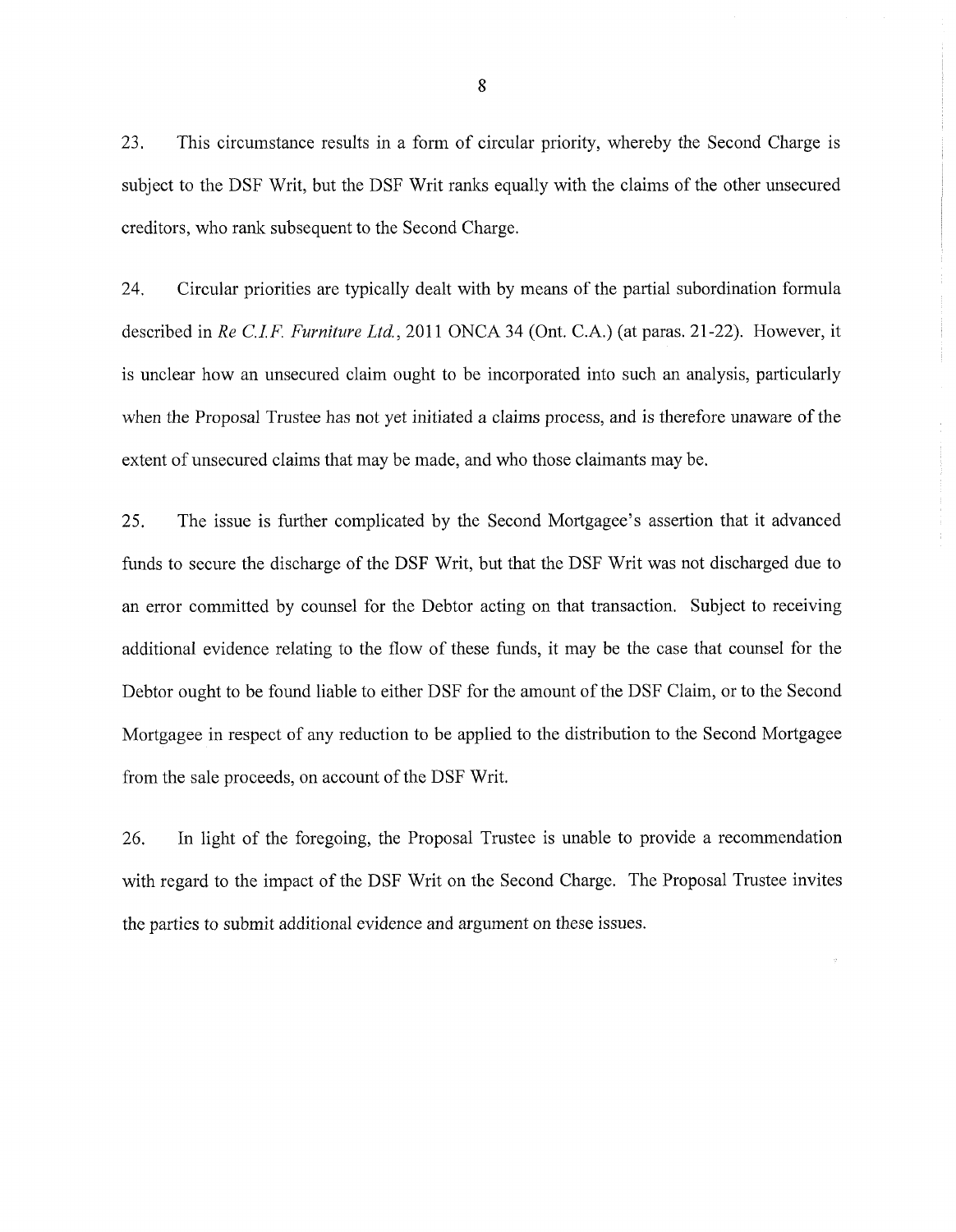23. This circumstance results in a form of circular priority, whereby the Second Charge is subject to the DSF Writ, but the DSF Writ ranks equally with the claims of the other unsecured creditors, who rank subsequent to the Second Charge.

24. Circular priorities are typically dealt with by means of the partial subordination formula described in *Re C.I.F. Furniture Ltd.,* 2011 ONCA 34 (Ont. C.A.) (at paras. 21-22). However, it is unclear how an unsecured claim ought to be incorporated into such an analysis, particularly when the Proposal Trustee has not yet initiated a claims process, and is therefore unaware of the extent of unsecured claims that may be made, and who those claimants may be.

25. The issue is further complicated by the Second Mortgagee's assertion that it advanced funds to secure the discharge of the DSF Writ, but that the DSF Writ was not discharged due to an error committed by counsel for the Debtor acting on that transaction. Subject to receiving additional evidence relating to the flow of these funds, it may be the case that counsel for the Debtor ought to be found liable to either DSF for the amount of the DSF Claim, or to the Second Mortgagee in respect of any reduction to be applied to the distribution to the Second Mortgagee from the sale proceeds, on account of the DSF Writ.

26. In light of the foregoing, the Proposal Trustee is unable to provide a recommendation with regard to the impact of the DSF Writ on the Second Charge. The Proposal Trustee invites the parties to submit additional evidence and argument on these issues.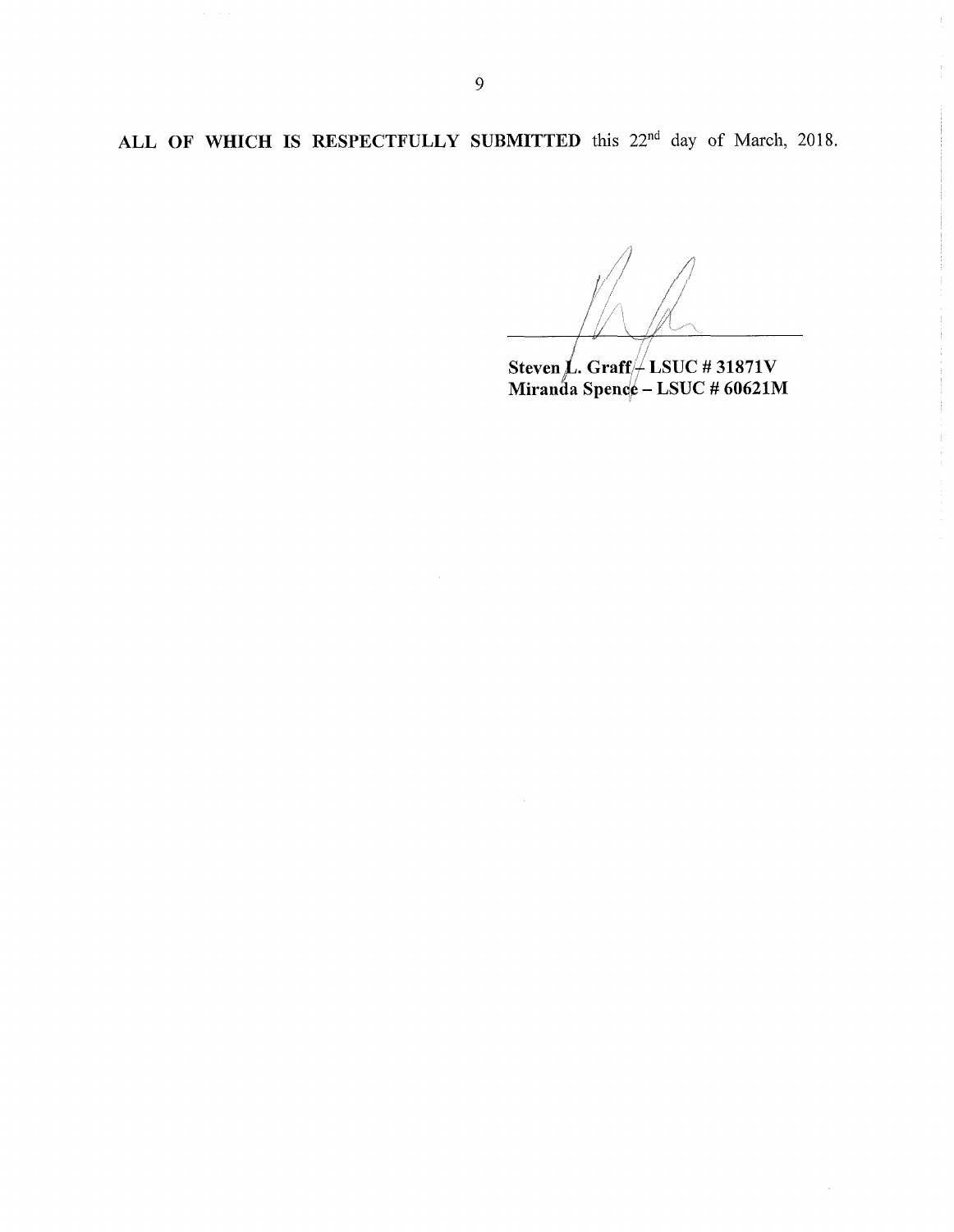**ALL OF WHICH IS RESPECTFULLY SUBMITTED** this 22nd day of March, 2018.

**Steven** *L* **Graff- LSUC # 31871V Miranda Spenc^ - LSUC** *#* **60621M**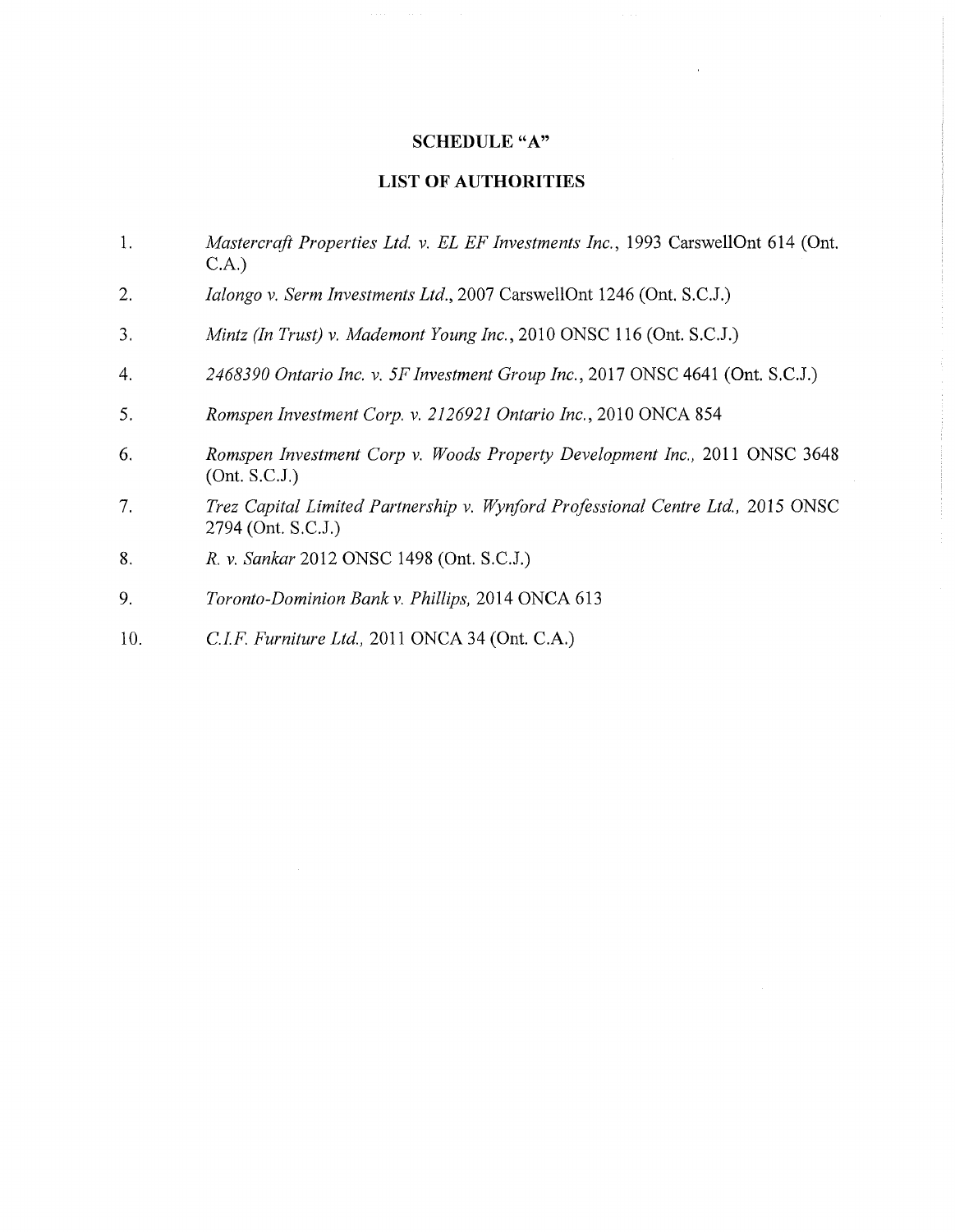# SCHEDULE "A"

## LIST OF AUTHORITIES

- 1. *Mastercraft Properties Ltd, v. EL EF Investments Inc.,* 1993 CarswellOnt 614 (Ont. C.A.)
- 2. *Ialongo v. Serm Investments Ltd.,* 2007 CarswellOnt 1246 (Ont. S.C.J.)
- 3. *Mintz (In Trust) v. Mademont Young Inc.,* 2010 ONSC 116 (Ont. S.C.J.)
- 4. *2468390 Ontario Inc. v. 5FInvestment Group Inc.,* 2017 ONSC 4641 (Ont. S.C.J.)
- 5. *Romspen Investment Corp.* v. *2126921 Ontario Inc.,* 2010 ONCA 854
- 6. *Romspen Investment Corp* v. *Woods Property Development Inc.,* 2011 ONSC 3648 (Ont. S.C.J.)
- 7. *Trez Capital Limited Partnership v. Wynford Professional Centre Ltd.,* 2015 ONSC 2794 (Ont. S.C.J.)
- 8. *R. v. Sankar* 2012 ONSC 1498 (Ont. S.C.J.)
- 9. *Toronto-Dominion Bankv. Phillips,* 2014 ONCA 613
- 10. *C.I.F. Furniture Ltd,* 2011 ONCA 34 (Ont. C.A.)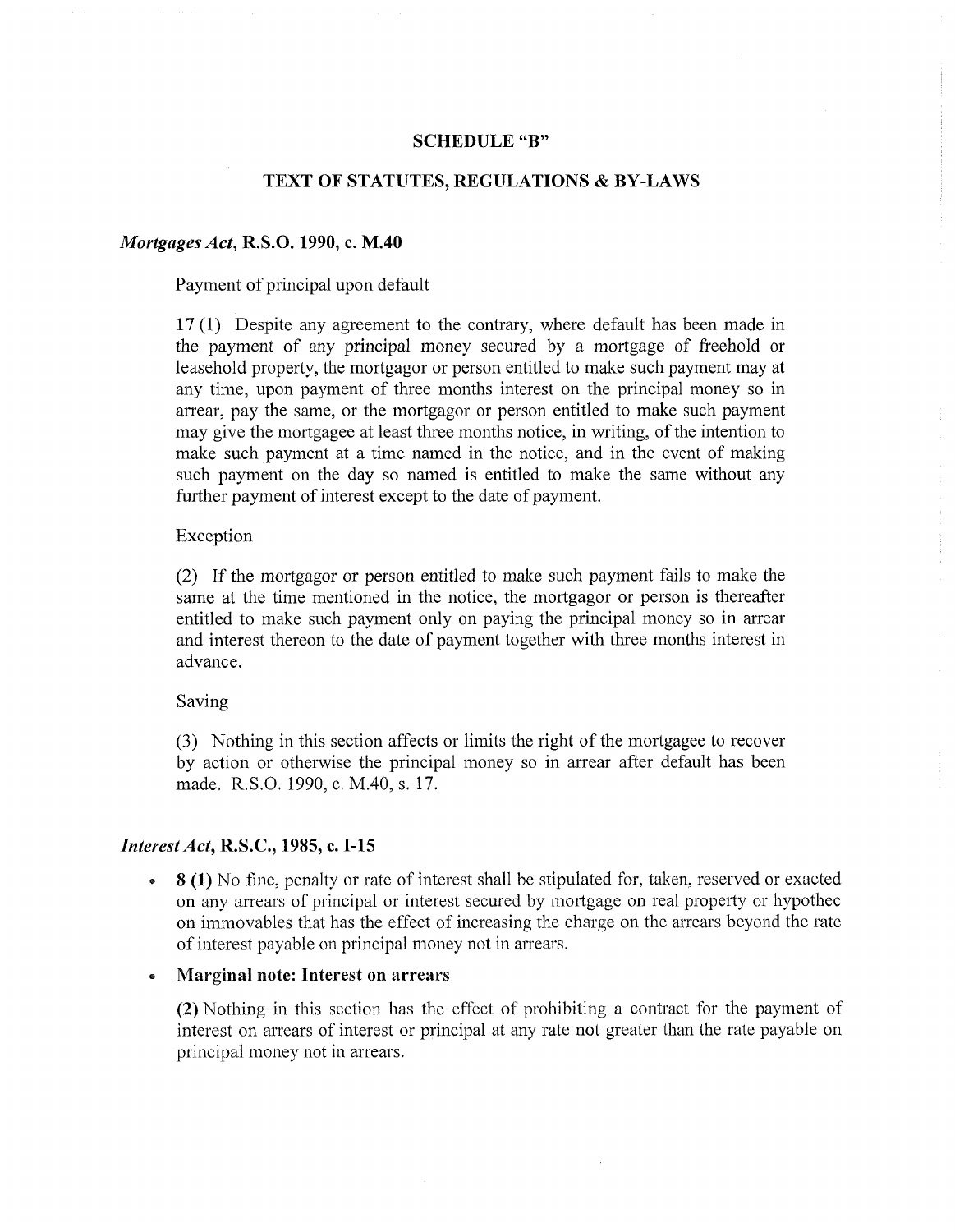#### **SCHEDULE"B"**

# **TEXT OF STATUTES, REGULATIONS & BY-LAWS**

# *Mortgages Act, R.S.O. 1990, c. M.40*

Payment of principal upon default

**17** (1) Despite any agreement to the contrary, where default has been made in the payment of any principal money secured by a mortgage of freehold or leasehold property, the mortgagor or person entitled to make such payment may at any time, upon payment of three months interest on the principal money so in arrear, pay the same, or the mortgagor or person entitled to make such payment may give the mortgagee at least three months notice, in writing, of the intention to make such payment at a time named in the notice, and in the event of making such payment on the day so named is entitled to make the same without any further payment of interest except to the date of payment.

#### Exception

(2) If the mortgagor or person entitled to make such payment fails to make the same at the time mentioned in the notice, the mortgagor or person is thereafter entitled to make such payment only on paying the principal money so in arrear and interest thereon to the date of payment together with three months interest in advance.

Saving

(3) Nothing in this section affects or limits the right of the mortgagee to recover by action or otherwise the principal money so in arrear after default has been made. R.S.O. 1990, c. M.40, s. 17.

#### *InterestAct,* **R.S.C., 1985, c. 1-15**

**• 8 (1)** No fine, penalty or rate of interest shall be stipulated for, taken, reserved or exacted on any arrears of principal or interest secured by mortgage on real property or hypothec on immovables that has the effect of increasing the charge on the arrears beyond the rate of interest payable on principal money not in arrears.

#### **• Marginal note: Interest on arrears**

**(2)** Nothing in this section has the effect of prohibiting a contract for the payment of interest on arrears of interest or principal at any rate not greater than the rate payable on principal money not in arrears.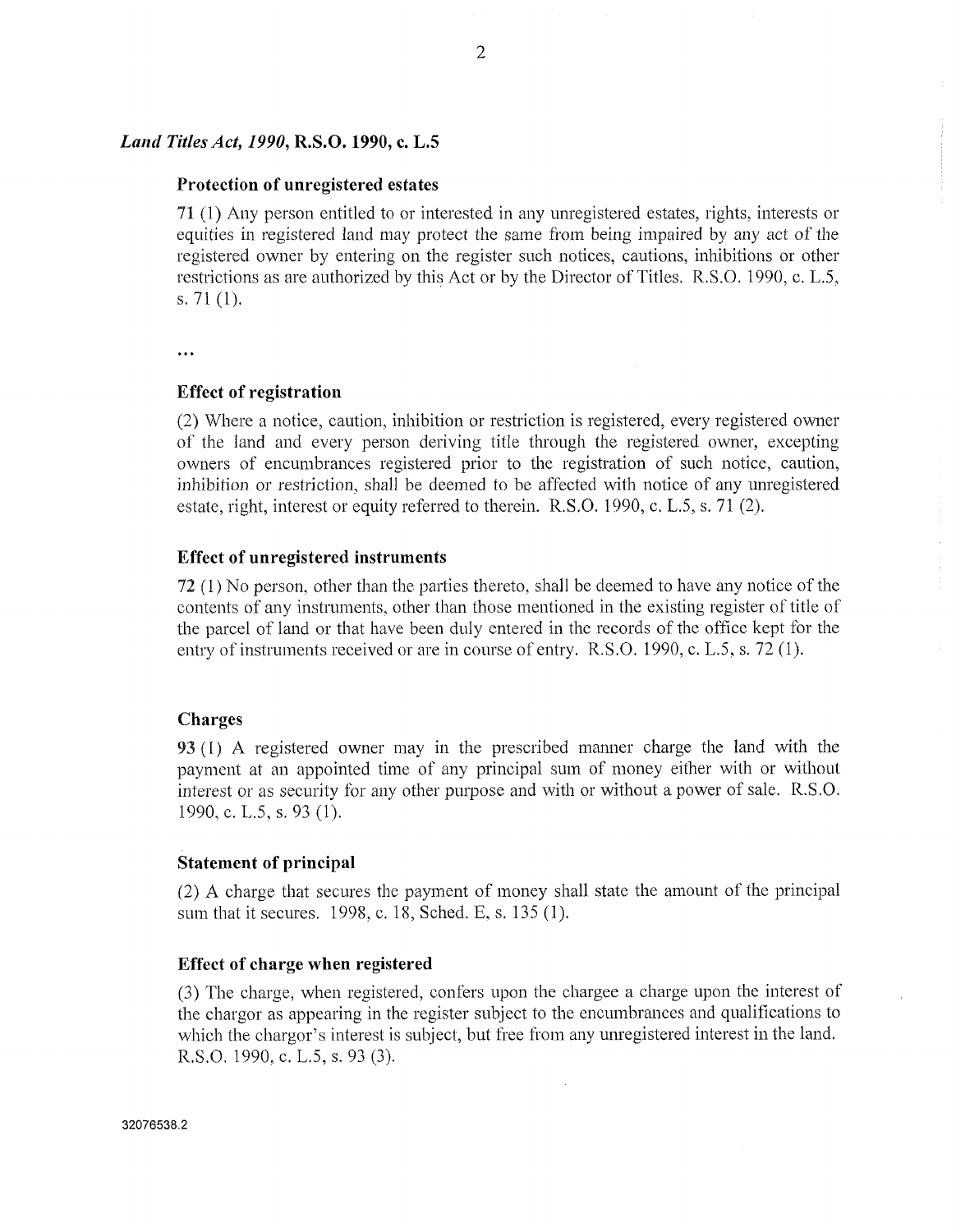#### *Land Titles Act, 1990,* **R.S.0.1990, c. L.5**

#### **Protection of unregistered estates**

**71** (1) Any person entitled to or interested in any unregistered estates, rights, interests or equities in registered land may protect the same from being impaired by any act of the registered owner by entering on the register such notices, cautions, inhibitions or other restrictions as are authorized by this Act or by the Director of Titles. R.S.O. 1990, c. L.5, s. 71 (1).

#### $\ddotsc$

#### **Effect of registration**

(2) Where a notice, caution, inhibition or restriction is registered, every registered owner of the land and every person deriving title through the registered owner, excepting owners of encumbrances registered prior to the registration of such notice, caution, inhibition or restriction, shall be deemed to be affected with notice of any unregistered estate, right, interest or equity referred to therein. R.S.O. 1990, c. L.5, s. 71 (2).

#### **Effect of unregistered instruments**

**72** (1) No person, other than the parties thereto, shall be deemed to have any notice ofthe contents of any instruments, other than those mentioned in the existing register of title of the parcel of land or that have been duly entered in the records ofthe office kept for the entry of instruments received or are in course of entry. R.S.O. 1990, c. L.5, s. 72 (1).

#### **Charges**

93 (1) A registered owner may in the prescribed manner charge the land with the payment at an appointed time of any principal sum of money either with or without interest or as security for any other purpose and with or without a power of sale. R.S.O. 1990, c. L.5, s. 93 (1).

#### **Statement of principal**

(2) A charge that secures the payment of money shall state the amount of the principal sum that it secures. 1998, c. 18, Sched. E, s. 135 (1).

### **Effect of charge when registered**

(3) The charge, when registered, confers upon the chargee a charge upon the interest of the chargor as appearing in the register subject to the encumbrances and qualifications to which the chargor's interest is subject, but free from any unregistered interest in the land. R.S.O. 1990, c. L.5, s. 93 (3).